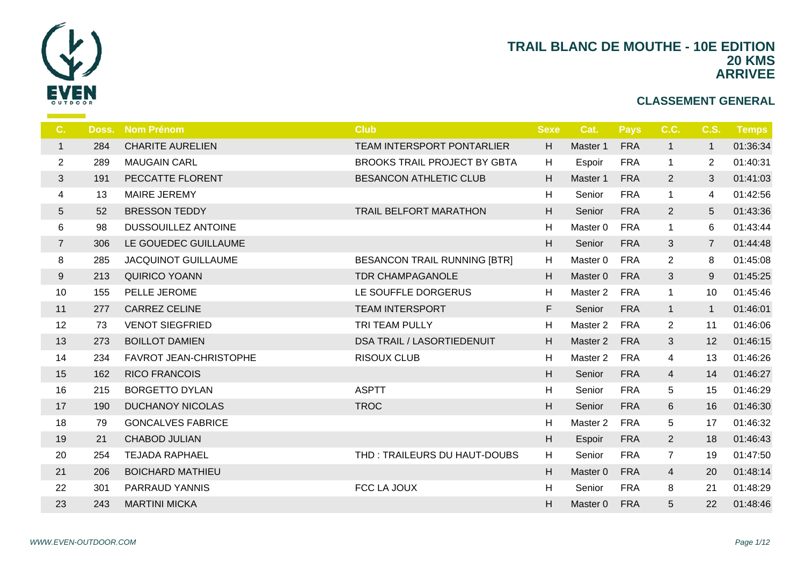

| C.             | Doss. | <b>Nom Prénom</b>          | <b>Club</b>                         | <b>Sexe</b> | Cat.                | <b>Pays</b> | C.C.           | <b>C.S.</b>    | <b>Temps</b> |
|----------------|-------|----------------------------|-------------------------------------|-------------|---------------------|-------------|----------------|----------------|--------------|
| $\mathbf{1}$   | 284   | <b>CHARITE AURELIEN</b>    | <b>TEAM INTERSPORT PONTARLIER</b>   | H           | Master 1            | <b>FRA</b>  | $\mathbf{1}$   | $\mathbf 1$    | 01:36:34     |
| 2              | 289   | <b>MAUGAIN CARL</b>        | <b>BROOKS TRAIL PROJECT BY GBTA</b> | H           | Espoir              | <b>FRA</b>  | $\mathbf{1}$   | $\overline{2}$ | 01:40:31     |
| $\mathfrak{S}$ | 191   | PECCATTE FLORENT           | <b>BESANCON ATHLETIC CLUB</b>       | H           | Master 1            | <b>FRA</b>  | $\overline{2}$ | 3              | 01:41:03     |
| $\overline{4}$ | 13    | <b>MAIRE JEREMY</b>        |                                     | н           | Senior              | <b>FRA</b>  | $\mathbf{1}$   | 4              | 01:42:56     |
| $5\,$          | 52    | <b>BRESSON TEDDY</b>       | TRAIL BELFORT MARATHON              | H           | Senior              | <b>FRA</b>  | $\overline{2}$ | 5              | 01:43:36     |
| 6              | 98    | <b>DUSSOUILLEZ ANTOINE</b> |                                     | н           | Master <sub>0</sub> | <b>FRA</b>  | $\mathbf{1}$   | 6              | 01:43:44     |
| $\overline{7}$ | 306   | LE GOUEDEC GUILLAUME       |                                     | H           | Senior              | <b>FRA</b>  | 3              | $\overline{7}$ | 01:44:48     |
| 8              | 285   | <b>JACQUINOT GUILLAUME</b> | <b>BESANCON TRAIL RUNNING [BTR]</b> | H           | Master <sub>0</sub> | <b>FRA</b>  | $\overline{2}$ | 8              | 01:45:08     |
| 9              | 213   | <b>QUIRICO YOANN</b>       | <b>TDR CHAMPAGANOLE</b>             | H           | Master 0            | <b>FRA</b>  | 3              | 9              | 01:45:25     |
| 10             | 155   | PELLE JEROME               | LE SOUFFLE DORGERUS                 | H           | Master 2            | FRA         | $\mathbf{1}$   | 10             | 01:45:46     |
| 11             | 277   | <b>CARREZ CELINE</b>       | <b>TEAM INTERSPORT</b>              | F           | Senior              | <b>FRA</b>  | $\mathbf{1}$   | $\mathbf{1}$   | 01:46:01     |
| 12             | 73    | <b>VENOT SIEGFRIED</b>     | TRI TEAM PULLY                      | H           | Master 2            | <b>FRA</b>  | $\overline{2}$ | 11             | 01:46:06     |
| 13             | 273   | <b>BOILLOT DAMIEN</b>      | <b>DSA TRAIL / LASORTIEDENUIT</b>   | H           | Master 2            | <b>FRA</b>  | 3              | 12             | 01:46:15     |
| 14             | 234   | FAVROT JEAN-CHRISTOPHE     | <b>RISOUX CLUB</b>                  | H           | Master <sub>2</sub> | <b>FRA</b>  | 4              | 13             | 01:46:26     |
| 15             | 162   | <b>RICO FRANCOIS</b>       |                                     | H.          | Senior              | <b>FRA</b>  | $\overline{4}$ | 14             | 01:46:27     |
| 16             | 215   | <b>BORGETTO DYLAN</b>      | <b>ASPTT</b>                        | H           | Senior              | <b>FRA</b>  | 5              | 15             | 01:46:29     |
| 17             | 190   | <b>DUCHANOY NICOLAS</b>    | <b>TROC</b>                         | H.          | Senior              | <b>FRA</b>  | 6              | 16             | 01:46:30     |
| 18             | 79    | <b>GONCALVES FABRICE</b>   |                                     | H           | Master 2            | <b>FRA</b>  | 5              | 17             | 01:46:32     |
| 19             | 21    | CHABOD JULIAN              |                                     | H           | Espoir              | <b>FRA</b>  | $\overline{2}$ | 18             | 01:46:43     |
| 20             | 254   | <b>TEJADA RAPHAEL</b>      | THD: TRAILEURS DU HAUT-DOUBS        | H           | Senior              | <b>FRA</b>  | $\overline{7}$ | 19             | 01:47:50     |
| 21             | 206   | <b>BOICHARD MATHIEU</b>    |                                     | H           | Master 0            | <b>FRA</b>  | $\overline{4}$ | 20             | 01:48:14     |
| 22             | 301   | PARRAUD YANNIS             | FCC LA JOUX                         | H           | Senior              | <b>FRA</b>  | 8              | 21             | 01:48:29     |
| 23             | 243   | <b>MARTINI MICKA</b>       |                                     | H           | Master 0            | <b>FRA</b>  | 5              | 22             | 01:48:46     |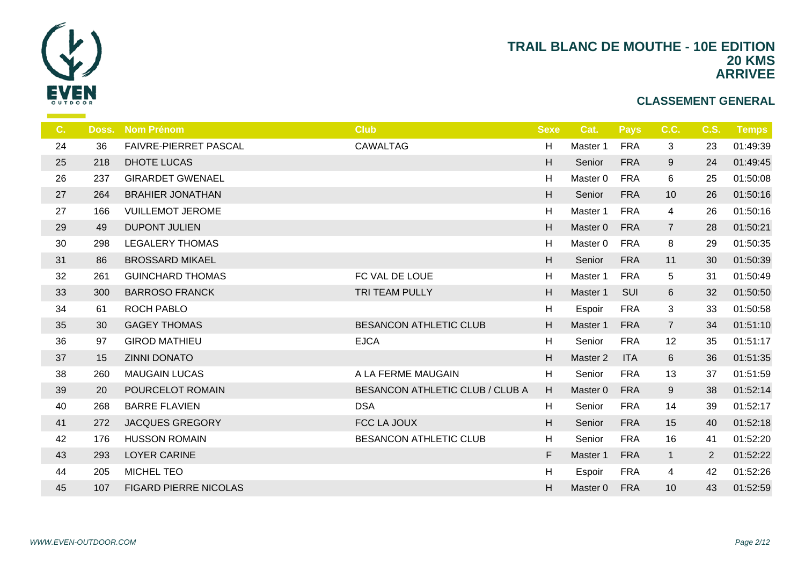

| C. | Doss. | <b>Nom Prénom</b>            | <b>Club</b>                     | <b>Sexe</b>               | Cat.                | <b>Pays</b> | C.C.           | <b>C.S.</b>    | Temps    |
|----|-------|------------------------------|---------------------------------|---------------------------|---------------------|-------------|----------------|----------------|----------|
| 24 | 36    | <b>FAIVRE-PIERRET PASCAL</b> | <b>CAWALTAG</b>                 | H                         | Master 1            | <b>FRA</b>  | $\mathbf{3}$   | 23             | 01:49:39 |
| 25 | 218   | <b>DHOTE LUCAS</b>           |                                 | H                         | Senior              | <b>FRA</b>  | 9              | 24             | 01:49:45 |
| 26 | 237   | <b>GIRARDET GWENAEL</b>      |                                 | H                         | Master <sub>0</sub> | <b>FRA</b>  | 6              | 25             | 01:50:08 |
| 27 | 264   | <b>BRAHIER JONATHAN</b>      |                                 | H                         | Senior              | <b>FRA</b>  | 10             | 26             | 01:50:16 |
| 27 | 166   | <b>VUILLEMOT JEROME</b>      |                                 | H                         | Master 1            | <b>FRA</b>  | $\overline{4}$ | 26             | 01:50:16 |
| 29 | 49    | <b>DUPONT JULIEN</b>         |                                 | H                         | Master 0            | <b>FRA</b>  | $\overline{7}$ | 28             | 01:50:21 |
| 30 | 298   | <b>LEGALERY THOMAS</b>       |                                 | $\boldsymbol{\mathsf{H}}$ | Master <sub>0</sub> | <b>FRA</b>  | 8              | 29             | 01:50:35 |
| 31 | 86    | <b>BROSSARD MIKAEL</b>       |                                 | H                         | Senior              | <b>FRA</b>  | 11             | 30             | 01:50:39 |
| 32 | 261   | <b>GUINCHARD THOMAS</b>      | FC VAL DE LOUE                  | H                         | Master 1            | <b>FRA</b>  | $\overline{5}$ | 31             | 01:50:49 |
| 33 | 300   | <b>BARROSO FRANCK</b>        | TRI TEAM PULLY                  | H                         | Master 1            | SUI         | 6              | 32             | 01:50:50 |
| 34 | 61    | <b>ROCH PABLO</b>            |                                 | H                         | Espoir              | <b>FRA</b>  | 3              | 33             | 01:50:58 |
| 35 | 30    | <b>GAGEY THOMAS</b>          | <b>BESANCON ATHLETIC CLUB</b>   | H                         | Master 1            | <b>FRA</b>  | $\overline{7}$ | 34             | 01:51:10 |
| 36 | 97    | <b>GIROD MATHIEU</b>         | <b>EJCA</b>                     | H                         | Senior              | <b>FRA</b>  | 12             | 35             | 01:51:17 |
| 37 | 15    | <b>ZINNI DONATO</b>          |                                 | H                         | Master <sub>2</sub> | <b>ITA</b>  | 6              | 36             | 01:51:35 |
| 38 | 260   | <b>MAUGAIN LUCAS</b>         | A LA FERME MAUGAIN              | H                         | Senior              | <b>FRA</b>  | 13             | 37             | 01:51:59 |
| 39 | 20    | POURCELOT ROMAIN             | BESANCON ATHLETIC CLUB / CLUB A | H                         | Master 0            | <b>FRA</b>  | $9\,$          | 38             | 01:52:14 |
| 40 | 268   | <b>BARRE FLAVIEN</b>         | <b>DSA</b>                      | H                         | Senior              | <b>FRA</b>  | 14             | 39             | 01:52:17 |
| 41 | 272   | <b>JACQUES GREGORY</b>       | FCC LA JOUX                     | H                         | Senior              | <b>FRA</b>  | 15             | 40             | 01:52:18 |
| 42 | 176   | <b>HUSSON ROMAIN</b>         | <b>BESANCON ATHLETIC CLUB</b>   | H                         | Senior              | <b>FRA</b>  | 16             | 41             | 01:52:20 |
| 43 | 293   | <b>LOYER CARINE</b>          |                                 | F                         | Master 1            | <b>FRA</b>  | $\mathbf{1}$   | $\overline{2}$ | 01:52:22 |
| 44 | 205   | <b>MICHEL TEO</b>            |                                 | H                         | Espoir              | <b>FRA</b>  | $\overline{4}$ | 42             | 01:52:26 |
| 45 | 107   | <b>FIGARD PIERRE NICOLAS</b> |                                 | H                         | Master 0            | <b>FRA</b>  | 10             | 43             | 01:52:59 |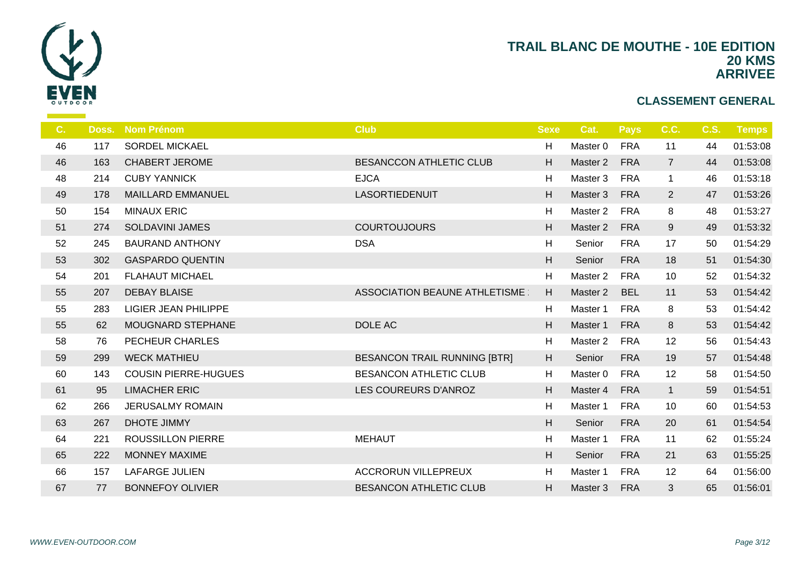

| C. | Doss. | <b>Nom Prénom</b>           | <b>Club</b>                         | <b>Sexe</b>  | Cat.     | <b>Pays</b> | C.C.           | <b>C.S.</b> | Temps    |
|----|-------|-----------------------------|-------------------------------------|--------------|----------|-------------|----------------|-------------|----------|
| 46 | 117   | <b>SORDEL MICKAEL</b>       |                                     | H            | Master 0 | <b>FRA</b>  | 11             | 44          | 01:53:08 |
| 46 | 163   | <b>CHABERT JEROME</b>       | <b>BESANCCON ATHLETIC CLUB</b>      | H            | Master 2 | <b>FRA</b>  | $\overline{7}$ | 44          | 01:53:08 |
| 48 | 214   | <b>CUBY YANNICK</b>         | <b>EJCA</b>                         | H            | Master 3 | <b>FRA</b>  | $\mathbf{1}$   | 46          | 01:53:18 |
| 49 | 178   | <b>MAILLARD EMMANUEL</b>    | <b>LASORTIEDENUIT</b>               | H            | Master 3 | <b>FRA</b>  | $\overline{2}$ | 47          | 01:53:26 |
| 50 | 154   | <b>MINAUX ERIC</b>          |                                     | H            | Master 2 | <b>FRA</b>  | 8              | 48          | 01:53:27 |
| 51 | 274   | SOLDAVINI JAMES             | <b>COURTOUJOURS</b>                 | H            | Master 2 | <b>FRA</b>  | 9              | 49          | 01:53:32 |
| 52 | 245   | <b>BAURAND ANTHONY</b>      | <b>DSA</b>                          | H            | Senior   | <b>FRA</b>  | 17             | 50          | 01:54:29 |
| 53 | 302   | <b>GASPARDO QUENTIN</b>     |                                     | H            | Senior   | <b>FRA</b>  | 18             | 51          | 01:54:30 |
| 54 | 201   | <b>FLAHAUT MICHAEL</b>      |                                     | H            | Master 2 | <b>FRA</b>  | 10             | 52          | 01:54:32 |
| 55 | 207   | <b>DEBAY BLAISE</b>         | ASSOCIATION BEAUNE ATHLETISME       | H            | Master 2 | <b>BEL</b>  | 11             | 53          | 01:54:42 |
| 55 | 283   | <b>LIGIER JEAN PHILIPPE</b> |                                     | H            | Master 1 | <b>FRA</b>  | 8              | 53          | 01:54:42 |
| 55 | 62    | <b>MOUGNARD STEPHANE</b>    | DOLE AC                             | H            | Master 1 | <b>FRA</b>  | 8              | 53          | 01:54:42 |
| 58 | 76    | PECHEUR CHARLES             |                                     | H            | Master 2 | <b>FRA</b>  | 12             | 56          | 01:54:43 |
| 59 | 299   | <b>WECK MATHIEU</b>         | <b>BESANCON TRAIL RUNNING [BTR]</b> | H            | Senior   | <b>FRA</b>  | 19             | 57          | 01:54:48 |
| 60 | 143   | <b>COUSIN PIERRE-HUGUES</b> | <b>BESANCON ATHLETIC CLUB</b>       | H            | Master 0 | <b>FRA</b>  | 12             | 58          | 01:54:50 |
| 61 | 95    | <b>LIMACHER ERIC</b>        | LES COUREURS D'ANROZ                | H            | Master 4 | <b>FRA</b>  | $\mathbf{1}$   | 59          | 01:54:51 |
| 62 | 266   | <b>JERUSALMY ROMAIN</b>     |                                     | H            | Master 1 | <b>FRA</b>  | 10             | 60          | 01:54:53 |
| 63 | 267   | <b>DHOTE JIMMY</b>          |                                     | H            | Senior   | <b>FRA</b>  | 20             | 61          | 01:54:54 |
| 64 | 221   | <b>ROUSSILLON PIERRE</b>    | <b>MEHAUT</b>                       | $\mathsf{H}$ | Master 1 | <b>FRA</b>  | 11             | 62          | 01:55:24 |
| 65 | 222   | <b>MONNEY MAXIME</b>        |                                     | H            | Senior   | <b>FRA</b>  | 21             | 63          | 01:55:25 |
| 66 | 157   | <b>LAFARGE JULIEN</b>       | <b>ACCRORUN VILLEPREUX</b>          | H            | Master 1 | <b>FRA</b>  | 12             | 64          | 01:56:00 |
| 67 | 77    | <b>BONNEFOY OLIVIER</b>     | <b>BESANCON ATHLETIC CLUB</b>       | H            | Master 3 | <b>FRA</b>  | 3              | 65          | 01:56:01 |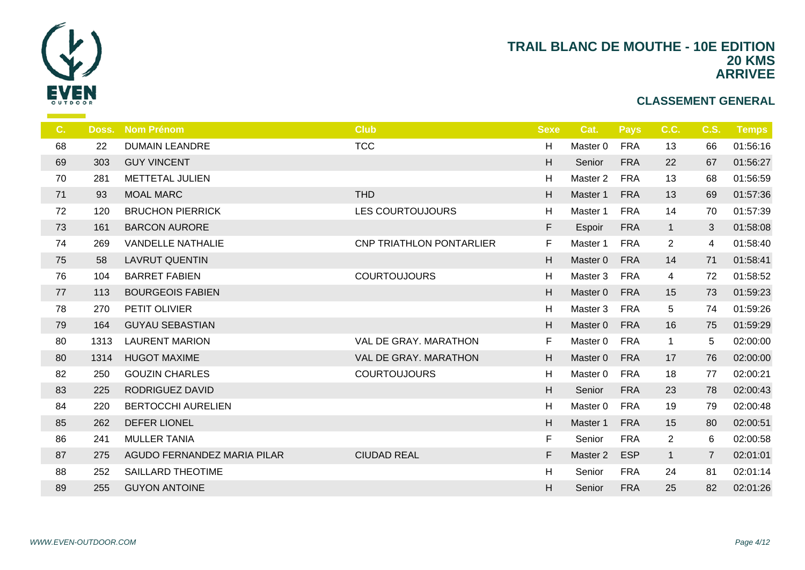

| C. | Doss. | <b>Nom Prénom</b>           | <b>Club</b>                     | <b>Sexe</b> | Cat.                | <b>Pays</b> | C.C.           | <b>C.S.</b>    | <b>Temps</b> |
|----|-------|-----------------------------|---------------------------------|-------------|---------------------|-------------|----------------|----------------|--------------|
| 68 | 22    | <b>DUMAIN LEANDRE</b>       | <b>TCC</b>                      | H           | Master <sub>0</sub> | <b>FRA</b>  | 13             | 66             | 01:56:16     |
| 69 | 303   | <b>GUY VINCENT</b>          |                                 | H           | Senior              | <b>FRA</b>  | 22             | 67             | 01:56:27     |
| 70 | 281   | METTETAL JULIEN             |                                 | H           | Master 2            | <b>FRA</b>  | 13             | 68             | 01:56:59     |
| 71 | 93    | <b>MOAL MARC</b>            | <b>THD</b>                      | H           | Master 1            | <b>FRA</b>  | 13             | 69             | 01:57:36     |
| 72 | 120   | <b>BRUCHON PIERRICK</b>     | <b>LES COURTOUJOURS</b>         | H           | Master 1            | <b>FRA</b>  | 14             | 70             | 01:57:39     |
| 73 | 161   | <b>BARCON AURORE</b>        |                                 | F           | Espoir              | <b>FRA</b>  | $\mathbf{1}$   | 3              | 01:58:08     |
| 74 | 269   | <b>VANDELLE NATHALIE</b>    | <b>CNP TRIATHLON PONTARLIER</b> | F           | Master 1            | <b>FRA</b>  | $\overline{2}$ | 4              | 01:58:40     |
| 75 | 58    | <b>LAVRUT QUENTIN</b>       |                                 | H           | Master 0            | <b>FRA</b>  | 14             | 71             | 01:58:41     |
| 76 | 104   | <b>BARRET FABIEN</b>        | <b>COURTOUJOURS</b>             | H           | Master 3            | <b>FRA</b>  | 4              | 72             | 01:58:52     |
| 77 | 113   | <b>BOURGEOIS FABIEN</b>     |                                 | H           | Master 0            | <b>FRA</b>  | 15             | 73             | 01:59:23     |
| 78 | 270   | PETIT OLIVIER               |                                 | H           | Master 3            | <b>FRA</b>  | 5              | 74             | 01:59:26     |
| 79 | 164   | <b>GUYAU SEBASTIAN</b>      |                                 | H           | Master 0            | <b>FRA</b>  | 16             | 75             | 01:59:29     |
| 80 | 1313  | <b>LAURENT MARION</b>       | VAL DE GRAY, MARATHON           | F           | Master 0            | <b>FRA</b>  | $\mathbf{1}$   | 5              | 02:00:00     |
| 80 | 1314  | <b>HUGOT MAXIME</b>         | VAL DE GRAY. MARATHON           | H           | Master 0            | <b>FRA</b>  | 17             | 76             | 02:00:00     |
| 82 | 250   | <b>GOUZIN CHARLES</b>       | <b>COURTOUJOURS</b>             | H           | Master 0            | <b>FRA</b>  | 18             | 77             | 02:00:21     |
| 83 | 225   | RODRIGUEZ DAVID             |                                 | H           | Senior              | <b>FRA</b>  | 23             | 78             | 02:00:43     |
| 84 | 220   | <b>BERTOCCHI AURELIEN</b>   |                                 | H           | Master 0            | <b>FRA</b>  | 19             | 79             | 02:00:48     |
| 85 | 262   | <b>DEFER LIONEL</b>         |                                 | H           | Master 1            | <b>FRA</b>  | 15             | 80             | 02:00:51     |
| 86 | 241   | <b>MULLER TANIA</b>         |                                 | F           | Senior              | <b>FRA</b>  | $\overline{2}$ | 6              | 02:00:58     |
| 87 | 275   | AGUDO FERNANDEZ MARIA PILAR | <b>CIUDAD REAL</b>              | F           | Master <sub>2</sub> | <b>ESP</b>  | $\mathbf{1}$   | $\overline{7}$ | 02:01:01     |
| 88 | 252   | <b>SAILLARD THEOTIME</b>    |                                 | H           | Senior              | <b>FRA</b>  | 24             | 81             | 02:01:14     |
| 89 | 255   | <b>GUYON ANTOINE</b>        |                                 | Η           | Senior              | <b>FRA</b>  | 25             | 82             | 02:01:26     |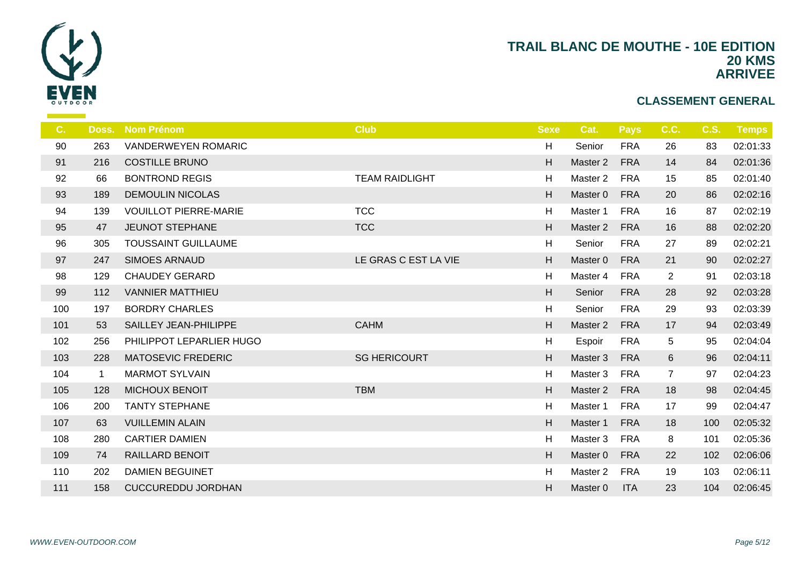

| $C_{1}$ | Doss.        | <b>Nom Prénom</b>            | <b>Club</b>           | <b>Sexe</b> | Cat.                | <b>Pays</b> | C.C.           | <b>C.S.</b> | Temps    |
|---------|--------------|------------------------------|-----------------------|-------------|---------------------|-------------|----------------|-------------|----------|
| 90      | 263          | <b>VANDERWEYEN ROMARIC</b>   |                       | H           | Senior              | <b>FRA</b>  | 26             | 83          | 02:01:33 |
| 91      | 216          | <b>COSTILLE BRUNO</b>        |                       | H           | Master 2            | <b>FRA</b>  | 14             | 84          | 02:01:36 |
| 92      | 66           | <b>BONTROND REGIS</b>        | <b>TEAM RAIDLIGHT</b> | H           | Master 2            | <b>FRA</b>  | 15             | 85          | 02:01:40 |
| 93      | 189          | <b>DEMOULIN NICOLAS</b>      |                       | H           | Master 0            | <b>FRA</b>  | 20             | 86          | 02:02:16 |
| 94      | 139          | <b>VOUILLOT PIERRE-MARIE</b> | <b>TCC</b>            | H           | Master 1            | <b>FRA</b>  | 16             | 87          | 02:02:19 |
| 95      | 47           | <b>JEUNOT STEPHANE</b>       | <b>TCC</b>            | H           | Master 2            | <b>FRA</b>  | 16             | 88          | 02:02:20 |
| 96      | 305          | <b>TOUSSAINT GUILLAUME</b>   |                       | H           | Senior              | <b>FRA</b>  | 27             | 89          | 02:02:21 |
| 97      | 247          | <b>SIMOES ARNAUD</b>         | LE GRAS C EST LA VIE  | H           | Master 0            | <b>FRA</b>  | 21             | 90          | 02:02:27 |
| 98      | 129          | <b>CHAUDEY GERARD</b>        |                       | H           | Master 4            | <b>FRA</b>  | $\overline{2}$ | 91          | 02:03:18 |
| 99      | 112          | <b>VANNIER MATTHIEU</b>      |                       | H           | Senior              | <b>FRA</b>  | 28             | 92          | 02:03:28 |
| 100     | 197          | <b>BORDRY CHARLES</b>        |                       | H           | Senior              | <b>FRA</b>  | 29             | 93          | 02:03:39 |
| 101     | 53           | SAILLEY JEAN-PHILIPPE        | <b>CAHM</b>           | H           | Master 2            | <b>FRA</b>  | 17             | 94          | 02:03:49 |
| 102     | 256          | PHILIPPOT LEPARLIER HUGO     |                       | H           | Espoir              | <b>FRA</b>  | 5              | 95          | 02:04:04 |
| 103     | 228          | <b>MATOSEVIC FREDERIC</b>    | <b>SG HERICOURT</b>   | H           | Master 3            | <b>FRA</b>  | $6\phantom{.}$ | 96          | 02:04:11 |
| 104     | $\mathbf{1}$ | <b>MARMOT SYLVAIN</b>        |                       | H           | Master 3            | <b>FRA</b>  | $\overline{7}$ | 97          | 02:04:23 |
| 105     | 128          | <b>MICHOUX BENOIT</b>        | <b>TBM</b>            | H           | Master 2            | <b>FRA</b>  | 18             | 98          | 02:04:45 |
| 106     | 200          | <b>TANTY STEPHANE</b>        |                       | H           | Master 1            | <b>FRA</b>  | 17             | 99          | 02:04:47 |
| 107     | 63           | <b>VUILLEMIN ALAIN</b>       |                       | H           | Master 1            | <b>FRA</b>  | 18             | 100         | 02:05:32 |
| 108     | 280          | <b>CARTIER DAMIEN</b>        |                       | H           | Master 3            | <b>FRA</b>  | 8              | 101         | 02:05:36 |
| 109     | 74           | RAILLARD BENOIT              |                       | H           | Master 0            | <b>FRA</b>  | 22             | 102         | 02:06:06 |
| 110     | 202          | <b>DAMIEN BEGUINET</b>       |                       | H           | Master <sub>2</sub> | <b>FRA</b>  | 19             | 103         | 02:06:11 |
| 111     | 158          | <b>CUCCUREDDU JORDHAN</b>    |                       | H           | Master 0            | <b>ITA</b>  | 23             | 104         | 02:06:45 |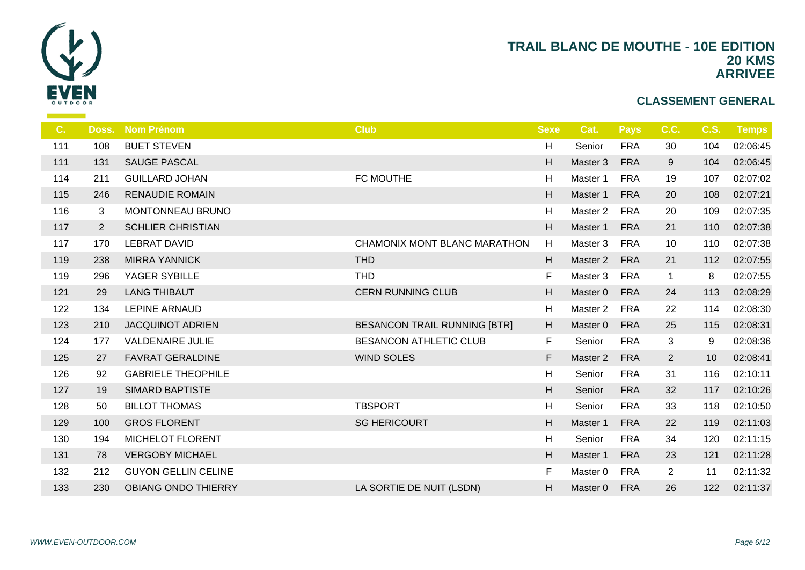

| C.  | Doss.          | <b>Nom Prénom</b>          | <b>Club</b>                         | <b>Sexe</b> | Cat.                | <b>Pays</b> | C.C.           | <b>C.S.</b> | Temps    |
|-----|----------------|----------------------------|-------------------------------------|-------------|---------------------|-------------|----------------|-------------|----------|
| 111 | 108            | <b>BUET STEVEN</b>         |                                     | н           | Senior              | <b>FRA</b>  | 30             | 104         | 02:06:45 |
| 111 | 131            | <b>SAUGE PASCAL</b>        |                                     | H           | Master 3            | <b>FRA</b>  | 9              | 104         | 02:06:45 |
| 114 | 211            | <b>GUILLARD JOHAN</b>      | FC MOUTHE                           | H           | Master 1            | <b>FRA</b>  | 19             | 107         | 02:07:02 |
| 115 | 246            | <b>RENAUDIE ROMAIN</b>     |                                     | H           | Master 1            | <b>FRA</b>  | 20             | 108         | 02:07:21 |
| 116 | 3              | MONTONNEAU BRUNO           |                                     | H           | Master 2            | <b>FRA</b>  | 20             | 109         | 02:07:35 |
| 117 | $\overline{2}$ | <b>SCHLIER CHRISTIAN</b>   |                                     | H           | Master 1            | <b>FRA</b>  | 21             | 110         | 02:07:38 |
| 117 | 170            | <b>LEBRAT DAVID</b>        | CHAMONIX MONT BLANC MARATHON        | H           | Master 3            | <b>FRA</b>  | 10             | 110         | 02:07:38 |
| 119 | 238            | <b>MIRRA YANNICK</b>       | <b>THD</b>                          | H           | Master 2            | <b>FRA</b>  | 21             | 112         | 02:07:55 |
| 119 | 296            | YAGER SYBILLE              | <b>THD</b>                          | F           | Master 3            | <b>FRA</b>  | $\mathbf{1}$   | 8           | 02:07:55 |
| 121 | 29             | <b>LANG THIBAUT</b>        | <b>CERN RUNNING CLUB</b>            | H           | Master 0            | <b>FRA</b>  | 24             | 113         | 02:08:29 |
| 122 | 134            | LEPINE ARNAUD              |                                     | H           | Master <sub>2</sub> | <b>FRA</b>  | 22             | 114         | 02:08:30 |
| 123 | 210            | <b>JACQUINOT ADRIEN</b>    | <b>BESANCON TRAIL RUNNING [BTR]</b> | H           | Master 0            | <b>FRA</b>  | 25             | 115         | 02:08:31 |
| 124 | 177            | <b>VALDENAIRE JULIE</b>    | <b>BESANCON ATHLETIC CLUB</b>       | F           | Senior              | <b>FRA</b>  | 3              | 9           | 02:08:36 |
| 125 | 27             | <b>FAVRAT GERALDINE</b>    | <b>WIND SOLES</b>                   | F           | Master <sub>2</sub> | <b>FRA</b>  | $\overline{2}$ | 10          | 02:08:41 |
| 126 | 92             | <b>GABRIELE THEOPHILE</b>  |                                     | H           | Senior              | <b>FRA</b>  | 31             | 116         | 02:10:11 |
| 127 | 19             | <b>SIMARD BAPTISTE</b>     |                                     | H           | Senior              | <b>FRA</b>  | 32             | 117         | 02:10:26 |
| 128 | 50             | <b>BILLOT THOMAS</b>       | <b>TBSPORT</b>                      | H           | Senior              | <b>FRA</b>  | 33             | 118         | 02:10:50 |
| 129 | 100            | <b>GROS FLORENT</b>        | <b>SG HERICOURT</b>                 | H           | Master 1            | <b>FRA</b>  | 22             | 119         | 02:11:03 |
| 130 | 194            | MICHELOT FLORENT           |                                     | H           | Senior              | <b>FRA</b>  | 34             | 120         | 02:11:15 |
| 131 | 78             | <b>VERGOBY MICHAEL</b>     |                                     | H           | Master 1            | <b>FRA</b>  | 23             | 121         | 02:11:28 |
| 132 | 212            | <b>GUYON GELLIN CELINE</b> |                                     | F           | Master 0            | <b>FRA</b>  | $\overline{2}$ | 11          | 02:11:32 |
| 133 | 230            | <b>OBIANG ONDO THIERRY</b> | LA SORTIE DE NUIT (LSDN)            | H           | Master 0            | <b>FRA</b>  | 26             | 122         | 02:11:37 |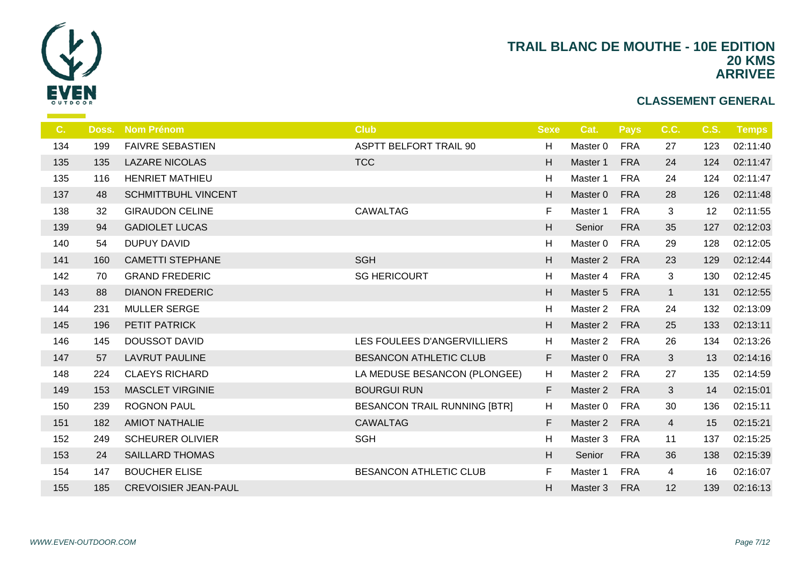

| C.  | Doss. | <b>Nom Prénom</b>           | <b>Club</b>                         | <b>Sexe</b> | Cat.                | <b>Pays</b> | C.C.           | <b>C.S.</b> | Temps    |
|-----|-------|-----------------------------|-------------------------------------|-------------|---------------------|-------------|----------------|-------------|----------|
| 134 | 199   | <b>FAIVRE SEBASTIEN</b>     | <b>ASPTT BELFORT TRAIL 90</b>       | H           | Master 0            | <b>FRA</b>  | 27             | 123         | 02:11:40 |
| 135 | 135   | <b>LAZARE NICOLAS</b>       | <b>TCC</b>                          | H           | Master 1            | <b>FRA</b>  | 24             | 124         | 02:11:47 |
| 135 | 116   | <b>HENRIET MATHIEU</b>      |                                     | H           | Master 1            | <b>FRA</b>  | 24             | 124         | 02:11:47 |
| 137 | 48    | <b>SCHMITTBUHL VINCENT</b>  |                                     | H           | Master 0            | <b>FRA</b>  | 28             | 126         | 02:11:48 |
| 138 | 32    | <b>GIRAUDON CELINE</b>      | <b>CAWALTAG</b>                     | F           | Master 1            | <b>FRA</b>  | 3              | 12          | 02:11:55 |
| 139 | 94    | <b>GADIOLET LUCAS</b>       |                                     | H           | Senior              | <b>FRA</b>  | 35             | 127         | 02:12:03 |
| 140 | 54    | <b>DUPUY DAVID</b>          |                                     | H           | Master 0            | <b>FRA</b>  | 29             | 128         | 02:12:05 |
| 141 | 160   | <b>CAMETTI STEPHANE</b>     | <b>SGH</b>                          | H           | Master 2            | <b>FRA</b>  | 23             | 129         | 02:12:44 |
| 142 | 70    | <b>GRAND FREDERIC</b>       | <b>SG HERICOURT</b>                 | H           | Master 4            | <b>FRA</b>  | $\mathfrak{S}$ | 130         | 02:12:45 |
| 143 | 88    | <b>DIANON FREDERIC</b>      |                                     | H           | Master 5            | <b>FRA</b>  | $\mathbf{1}$   | 131         | 02:12:55 |
| 144 | 231   | <b>MULLER SERGE</b>         |                                     | H           | Master 2            | <b>FRA</b>  | 24             | 132         | 02:13:09 |
| 145 | 196   | PETIT PATRICK               |                                     | H           | Master 2            | <b>FRA</b>  | 25             | 133         | 02:13:11 |
| 146 | 145   | <b>DOUSSOT DAVID</b>        | LES FOULEES D'ANGERVILLIERS         | H           | Master 2            | <b>FRA</b>  | 26             | 134         | 02:13:26 |
| 147 | 57    | <b>LAVRUT PAULINE</b>       | <b>BESANCON ATHLETIC CLUB</b>       | F           | Master 0            | <b>FRA</b>  | 3              | 13          | 02:14:16 |
| 148 | 224   | <b>CLAEYS RICHARD</b>       | LA MEDUSE BESANCON (PLONGEE)        | H           | Master <sub>2</sub> | <b>FRA</b>  | 27             | 135         | 02:14:59 |
| 149 | 153   | <b>MASCLET VIRGINIE</b>     | <b>BOURGUI RUN</b>                  | F           | Master 2            | <b>FRA</b>  | 3              | 14          | 02:15:01 |
| 150 | 239   | <b>ROGNON PAUL</b>          | <b>BESANCON TRAIL RUNNING [BTR]</b> | H           | Master 0            | <b>FRA</b>  | 30             | 136         | 02:15:11 |
| 151 | 182   | <b>AMIOT NATHALIE</b>       | <b>CAWALTAG</b>                     | F           | Master 2            | <b>FRA</b>  | $\overline{4}$ | 15          | 02:15:21 |
| 152 | 249   | <b>SCHEURER OLIVIER</b>     | <b>SGH</b>                          | H           | Master 3            | <b>FRA</b>  | 11             | 137         | 02:15:25 |
| 153 | 24    | <b>SAILLARD THOMAS</b>      |                                     | H           | Senior              | <b>FRA</b>  | 36             | 138         | 02:15:39 |
| 154 | 147   | <b>BOUCHER ELISE</b>        | <b>BESANCON ATHLETIC CLUB</b>       | F           | Master 1            | <b>FRA</b>  | 4              | 16          | 02:16:07 |
| 155 | 185   | <b>CREVOISIER JEAN-PAUL</b> |                                     | H           | Master 3            | <b>FRA</b>  | 12             | 139         | 02:16:13 |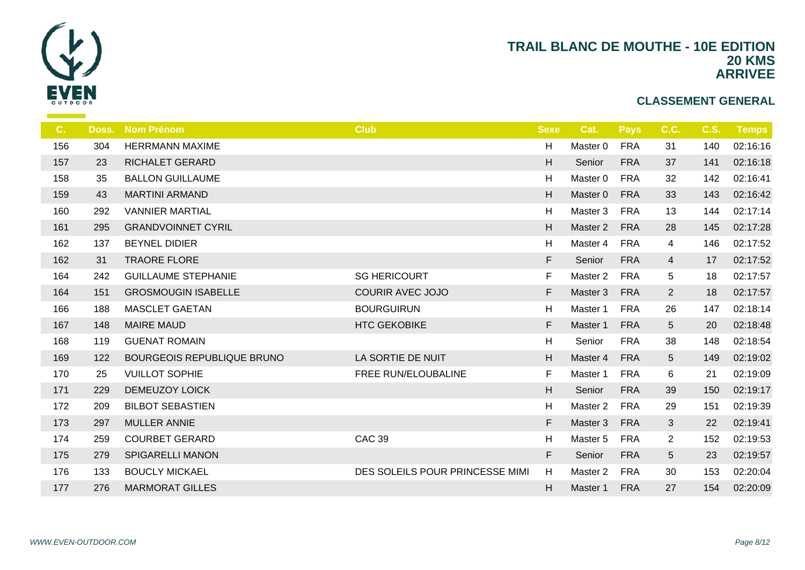

| C.  | Doss. | <b>Nom Prénom</b>                 | <b>Club</b>                     | <b>Sexe</b> | Cat.                | <b>Pays</b> | C.C.            | <b>C.S.</b> | <b>Temps</b> |
|-----|-------|-----------------------------------|---------------------------------|-------------|---------------------|-------------|-----------------|-------------|--------------|
| 156 | 304   | <b>HERRMANN MAXIME</b>            |                                 | Н           | Master 0            | <b>FRA</b>  | 31              | 140         | 02:16:16     |
| 157 | 23    | <b>RICHALET GERARD</b>            |                                 | H           | Senior              | <b>FRA</b>  | 37              | 141         | 02:16:18     |
| 158 | 35    | <b>BALLON GUILLAUME</b>           |                                 | Н           | Master 0            | <b>FRA</b>  | 32              | 142         | 02:16:41     |
| 159 | 43    | <b>MARTINI ARMAND</b>             |                                 | H           | Master 0            | <b>FRA</b>  | 33              | 143         | 02:16:42     |
| 160 | 292   | <b>VANNIER MARTIAL</b>            |                                 | Н           | Master 3            | <b>FRA</b>  | 13              | 144         | 02:17:14     |
| 161 | 295   | <b>GRANDVOINNET CYRIL</b>         |                                 | H           | Master 2            | <b>FRA</b>  | 28              | 145         | 02:17:28     |
| 162 | 137   | <b>BEYNEL DIDIER</b>              |                                 | Н           | Master 4            | <b>FRA</b>  | 4               | 146         | 02:17:52     |
| 162 | 31    | <b>TRAORE FLORE</b>               |                                 | F           | Senior              | <b>FRA</b>  | $\overline{4}$  | 17          | 02:17:52     |
| 164 | 242   | <b>GUILLAUME STEPHANIE</b>        | <b>SG HERICOURT</b>             | F           | Master 2            | <b>FRA</b>  | 5               | 18          | 02:17:57     |
| 164 | 151   | <b>GROSMOUGIN ISABELLE</b>        | <b>COURIR AVEC JOJO</b>         | F           | Master 3            | <b>FRA</b>  | $\overline{2}$  | 18          | 02:17:57     |
| 166 | 188   | <b>MASCLET GAETAN</b>             | <b>BOURGUIRUN</b>               | Н           | Master 1            | <b>FRA</b>  | 26              | 147         | 02:18:14     |
| 167 | 148   | <b>MAIRE MAUD</b>                 | <b>HTC GEKOBIKE</b>             | F           | Master 1            | <b>FRA</b>  | $5\overline{)}$ | 20          | 02:18:48     |
| 168 | 119   | <b>GUENAT ROMAIN</b>              |                                 | Н           | Senior              | <b>FRA</b>  | 38              | 148         | 02:18:54     |
| 169 | 122   | <b>BOURGEOIS REPUBLIQUE BRUNO</b> | LA SORTIE DE NUIT               | H           | Master 4            | <b>FRA</b>  | 5 <sup>5</sup>  | 149         | 02:19:02     |
| 170 | 25    | <b>VUILLOT SOPHIE</b>             | FREE RUN/ELOUBALINE             | $\mathsf F$ | Master 1            | <b>FRA</b>  | 6               | 21          | 02:19:09     |
| 171 | 229   | <b>DEMEUZOY LOICK</b>             |                                 | H           | Senior              | <b>FRA</b>  | 39              | 150         | 02:19:17     |
| 172 | 209   | <b>BILBOT SEBASTIEN</b>           |                                 | Н           | Master <sub>2</sub> | <b>FRA</b>  | 29              | 151         | 02:19:39     |
| 173 | 297   | <b>MULLER ANNIE</b>               |                                 | F           | Master 3            | <b>FRA</b>  | 3               | 22          | 02:19:41     |
| 174 | 259   | <b>COURBET GERARD</b>             | <b>CAC 39</b>                   | H           | Master 5            | <b>FRA</b>  | $\overline{2}$  | 152         | 02:19:53     |
| 175 | 279   | <b>SPIGARELLI MANON</b>           |                                 | F           | Senior              | <b>FRA</b>  | 5               | 23          | 02:19:57     |
| 176 | 133   | <b>BOUCLY MICKAEL</b>             | DES SOLEILS POUR PRINCESSE MIMI | H           | Master 2            | <b>FRA</b>  | 30              | 153         | 02:20:04     |
| 177 | 276   | <b>MARMORAT GILLES</b>            |                                 | H           | Master 1            | <b>FRA</b>  | 27              | 154         | 02:20:09     |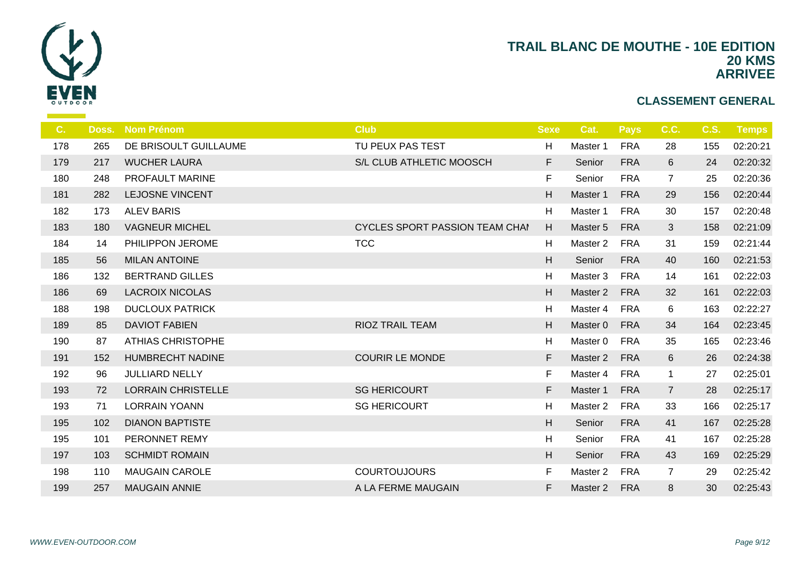

| C.  | Doss. | <b>Nom Prénom</b>         | <b>Club</b>                           | <b>Sexe</b> | Cat.                | <b>Pays</b> | C.C.           | <b>C.S.</b> | Temps    |
|-----|-------|---------------------------|---------------------------------------|-------------|---------------------|-------------|----------------|-------------|----------|
| 178 | 265   | DE BRISOULT GUILLAUME     | TU PEUX PAS TEST                      | H           | Master 1            | <b>FRA</b>  | 28             | 155         | 02:20:21 |
| 179 | 217   | <b>WUCHER LAURA</b>       | S/L CLUB ATHLETIC MOOSCH              | F           | Senior              | <b>FRA</b>  | 6              | 24          | 02:20:32 |
| 180 | 248   | PROFAULT MARINE           |                                       | F           | Senior              | <b>FRA</b>  | $\overline{7}$ | 25          | 02:20:36 |
| 181 | 282   | <b>LEJOSNE VINCENT</b>    |                                       | H           | Master 1            | <b>FRA</b>  | 29             | 156         | 02:20:44 |
| 182 | 173   | <b>ALEV BARIS</b>         |                                       | H           | Master 1            | <b>FRA</b>  | 30             | 157         | 02:20:48 |
| 183 | 180   | <b>VAGNEUR MICHEL</b>     | <b>CYCLES SPORT PASSION TEAM CHAI</b> | H           | Master 5            | <b>FRA</b>  | 3              | 158         | 02:21:09 |
| 184 | 14    | PHILIPPON JEROME          | <b>TCC</b>                            | H           | Master <sub>2</sub> | <b>FRA</b>  | 31             | 159         | 02:21:44 |
| 185 | 56    | <b>MILAN ANTOINE</b>      |                                       | H           | Senior              | <b>FRA</b>  | 40             | 160         | 02:21:53 |
| 186 | 132   | <b>BERTRAND GILLES</b>    |                                       | H           | Master 3            | <b>FRA</b>  | 14             | 161         | 02:22:03 |
| 186 | 69    | <b>LACROIX NICOLAS</b>    |                                       | H           | Master 2            | <b>FRA</b>  | 32             | 161         | 02:22:03 |
| 188 | 198   | <b>DUCLOUX PATRICK</b>    |                                       | H           | Master 4            | <b>FRA</b>  | 6              | 163         | 02:22:27 |
| 189 | 85    | <b>DAVIOT FABIEN</b>      | <b>RIOZ TRAIL TEAM</b>                | H           | Master 0            | <b>FRA</b>  | 34             | 164         | 02:23:45 |
| 190 | 87    | <b>ATHIAS CHRISTOPHE</b>  |                                       | H           | Master 0            | <b>FRA</b>  | 35             | 165         | 02:23:46 |
| 191 | 152   | <b>HUMBRECHT NADINE</b>   | <b>COURIR LE MONDE</b>                | F           | Master 2            | <b>FRA</b>  | 6              | 26          | 02:24:38 |
| 192 | 96    | <b>JULLIARD NELLY</b>     |                                       | F           | Master 4            | <b>FRA</b>  | $\mathbf{1}$   | 27          | 02:25:01 |
| 193 | 72    | <b>LORRAIN CHRISTELLE</b> | <b>SG HERICOURT</b>                   | F           | Master 1            | <b>FRA</b>  | $\overline{7}$ | 28          | 02:25:17 |
| 193 | 71    | <b>LORRAIN YOANN</b>      | <b>SG HERICOURT</b>                   | H           | Master <sub>2</sub> | <b>FRA</b>  | 33             | 166         | 02:25:17 |
| 195 | 102   | <b>DIANON BAPTISTE</b>    |                                       | H           | Senior              | <b>FRA</b>  | 41             | 167         | 02:25:28 |
| 195 | 101   | PERONNET REMY             |                                       | H           | Senior              | <b>FRA</b>  | 41             | 167         | 02:25:28 |
| 197 | 103   | <b>SCHMIDT ROMAIN</b>     |                                       | H           | Senior              | <b>FRA</b>  | 43             | 169         | 02:25:29 |
| 198 | 110   | <b>MAUGAIN CAROLE</b>     | <b>COURTOUJOURS</b>                   | F           | Master 2            | <b>FRA</b>  | $\overline{7}$ | 29          | 02:25:42 |
| 199 | 257   | <b>MAUGAIN ANNIE</b>      | A LA FERME MAUGAIN                    | F           | Master 2            | <b>FRA</b>  | 8              | 30          | 02:25:43 |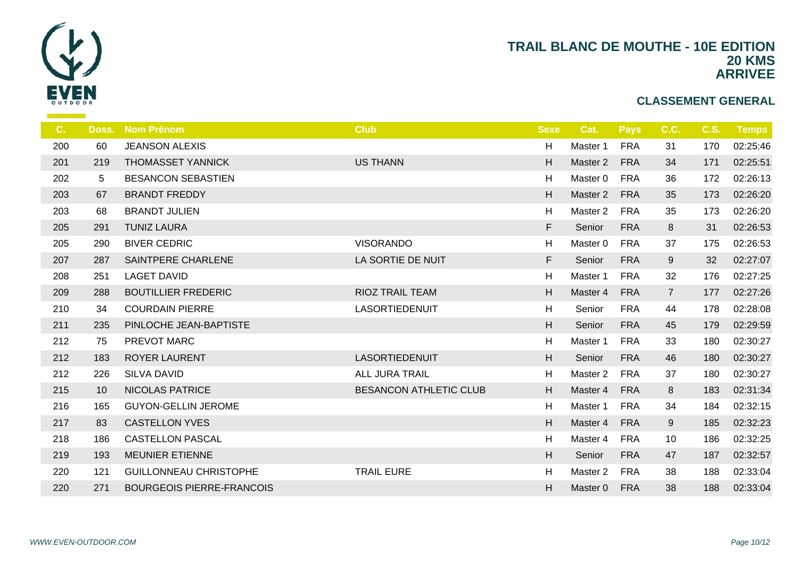

| C.  | Doss. | <b>Nom Prénom</b>                | <b>Club</b>                   | <b>Sexe</b> | Cat.                | <b>Pays</b> | C.C.           | <b>C.S.</b> | Temps    |
|-----|-------|----------------------------------|-------------------------------|-------------|---------------------|-------------|----------------|-------------|----------|
| 200 | 60    | <b>JEANSON ALEXIS</b>            |                               | H           | Master 1            | <b>FRA</b>  | 31             | 170         | 02:25:46 |
| 201 | 219   | <b>THOMASSET YANNICK</b>         | <b>US THANN</b>               | H           | Master 2            | <b>FRA</b>  | 34             | 171         | 02:25:51 |
| 202 | 5     | <b>BESANCON SEBASTIEN</b>        |                               | H           | Master 0            | <b>FRA</b>  | 36             | 172         | 02:26:13 |
| 203 | 67    | <b>BRANDT FREDDY</b>             |                               | H           | Master 2            | <b>FRA</b>  | 35             | 173         | 02:26:20 |
| 203 | 68    | <b>BRANDT JULIEN</b>             |                               | H           | Master 2            | <b>FRA</b>  | 35             | 173         | 02:26:20 |
| 205 | 291   | <b>TUNIZ LAURA</b>               |                               | F           | Senior              | <b>FRA</b>  | 8              | 31          | 02:26:53 |
| 205 | 290   | <b>BIVER CEDRIC</b>              | <b>VISORANDO</b>              | H           | Master 0            | <b>FRA</b>  | 37             | 175         | 02:26:53 |
| 207 | 287   | <b>SAINTPERE CHARLENE</b>        | LA SORTIE DE NUIT             | F           | Senior              | <b>FRA</b>  | 9              | 32          | 02:27:07 |
| 208 | 251   | <b>LAGET DAVID</b>               |                               | H           | Master 1            | <b>FRA</b>  | 32             | 176         | 02:27:25 |
| 209 | 288   | <b>BOUTILLIER FREDERIC</b>       | <b>RIOZ TRAIL TEAM</b>        | H           | Master 4            | <b>FRA</b>  | $\overline{7}$ | 177         | 02:27:26 |
| 210 | 34    | <b>COURDAIN PIERRE</b>           | LASORTIEDENUIT                | H           | Senior              | <b>FRA</b>  | 44             | 178         | 02:28:08 |
| 211 | 235   | PINLOCHE JEAN-BAPTISTE           |                               | H           | Senior              | <b>FRA</b>  | 45             | 179         | 02:29:59 |
| 212 | 75    | PREVOT MARC                      |                               | H           | Master 1            | <b>FRA</b>  | 33             | 180         | 02:30:27 |
| 212 | 183   | <b>ROYER LAURENT</b>             | LASORTIEDENUIT                | H           | Senior              | <b>FRA</b>  | 46             | 180         | 02:30:27 |
| 212 | 226   | <b>SILVA DAVID</b>               | <b>ALL JURA TRAIL</b>         | H           | Master <sub>2</sub> | <b>FRA</b>  | 37             | 180         | 02:30:27 |
| 215 | 10    | <b>NICOLAS PATRICE</b>           | <b>BESANCON ATHLETIC CLUB</b> | H           | Master 4            | <b>FRA</b>  | 8              | 183         | 02:31:34 |
| 216 | 165   | <b>GUYON-GELLIN JEROME</b>       |                               | H           | Master 1            | <b>FRA</b>  | 34             | 184         | 02:32:15 |
| 217 | 83    | <b>CASTELLON YVES</b>            |                               | H           | Master 4            | <b>FRA</b>  | 9              | 185         | 02:32:23 |
| 218 | 186   | <b>CASTELLON PASCAL</b>          |                               | H           | Master 4            | <b>FRA</b>  | 10             | 186         | 02:32:25 |
| 219 | 193   | <b>MEUNIER ETIENNE</b>           |                               | H           | Senior              | <b>FRA</b>  | 47             | 187         | 02:32:57 |
| 220 | 121   | <b>GUILLONNEAU CHRISTOPHE</b>    | <b>TRAIL EURE</b>             | H           | Master 2            | <b>FRA</b>  | 38             | 188         | 02:33:04 |
| 220 | 271   | <b>BOURGEOIS PIERRE-FRANCOIS</b> |                               | H           | Master 0            | <b>FRA</b>  | 38             | 188         | 02:33:04 |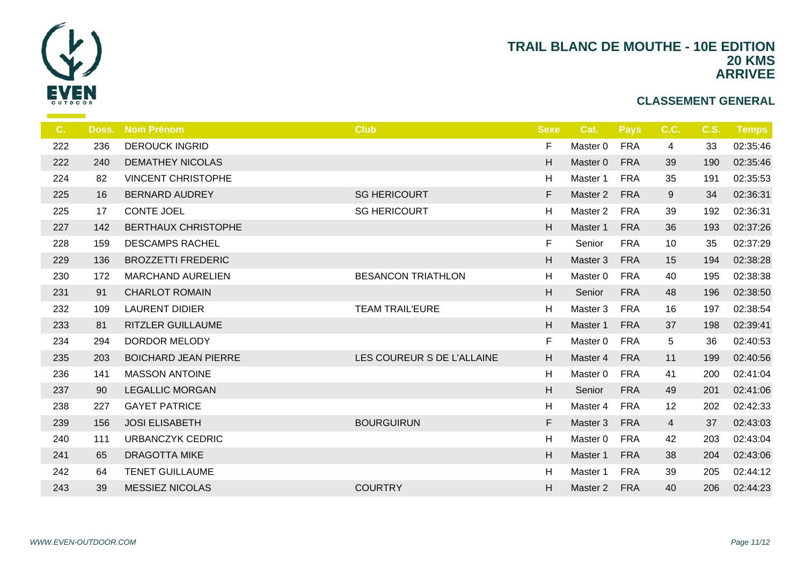

| C.  | Doss. | <b>Nom Prénom</b>           | <b>Club</b>                | <b>Sexe</b> | Cat.     | <b>Pays</b> | C.C.           | <b>C.S.</b> | <b>Temps</b> |
|-----|-------|-----------------------------|----------------------------|-------------|----------|-------------|----------------|-------------|--------------|
| 222 | 236   | <b>DEROUCK INGRID</b>       |                            | F           | Master 0 | <b>FRA</b>  | 4              | 33          | 02:35:46     |
| 222 | 240   | <b>DEMATHEY NICOLAS</b>     |                            | н           | Master 0 | <b>FRA</b>  | 39             | 190         | 02:35:46     |
| 224 | 82    | <b>VINCENT CHRISTOPHE</b>   |                            | H           | Master 1 | <b>FRA</b>  | 35             | 191         | 02:35:53     |
| 225 | 16    | <b>BERNARD AUDREY</b>       | <b>SG HERICOURT</b>        | F           | Master 2 | <b>FRA</b>  | 9              | 34          | 02:36:31     |
| 225 | 17    | <b>CONTE JOEL</b>           | <b>SG HERICOURT</b>        | H           | Master 2 | <b>FRA</b>  | 39             | 192         | 02:36:31     |
| 227 | 142   | <b>BERTHAUX CHRISTOPHE</b>  |                            | Η           | Master 1 | <b>FRA</b>  | 36             | 193         | 02:37:26     |
| 228 | 159   | <b>DESCAMPS RACHEL</b>      |                            | F           | Senior   | <b>FRA</b>  | 10             | 35          | 02:37:29     |
| 229 | 136   | <b>BROZZETTI FREDERIC</b>   |                            | H           | Master 3 | <b>FRA</b>  | 15             | 194         | 02:38:28     |
| 230 | 172   | <b>MARCHAND AURELIEN</b>    | <b>BESANCON TRIATHLON</b>  | H           | Master 0 | <b>FRA</b>  | 40             | 195         | 02:38:38     |
| 231 | 91    | <b>CHARLOT ROMAIN</b>       |                            | H           | Senior   | <b>FRA</b>  | 48             | 196         | 02:38:50     |
| 232 | 109   | <b>LAURENT DIDIER</b>       | <b>TEAM TRAIL'EURE</b>     | H           | Master 3 | <b>FRA</b>  | 16             | 197         | 02:38:54     |
| 233 | 81    | <b>RITZLER GUILLAUME</b>    |                            | Η           | Master 1 | <b>FRA</b>  | 37             | 198         | 02:39:41     |
| 234 | 294   | <b>DORDOR MELODY</b>        |                            | F           | Master 0 | <b>FRA</b>  | 5              | 36          | 02:40:53     |
| 235 | 203   | <b>BOICHARD JEAN PIERRE</b> | LES COUREUR S DE L'ALLAINE | H           | Master 4 | <b>FRA</b>  | 11             | 199         | 02:40:56     |
| 236 | 141   | <b>MASSON ANTOINE</b>       |                            | H           | Master 0 | <b>FRA</b>  | 41             | 200         | 02:41:04     |
| 237 | 90    | <b>LEGALLIC MORGAN</b>      |                            | Η           | Senior   | <b>FRA</b>  | 49             | 201         | 02:41:06     |
| 238 | 227   | <b>GAYET PATRICE</b>        |                            | H           | Master 4 | <b>FRA</b>  | 12             | 202         | 02:42:33     |
| 239 | 156   | <b>JOSI ELISABETH</b>       | <b>BOURGUIRUN</b>          | F           | Master 3 | <b>FRA</b>  | $\overline{4}$ | 37          | 02:43:03     |
| 240 | 111   | <b>URBANCZYK CEDRIC</b>     |                            | H           | Master 0 | <b>FRA</b>  | 42             | 203         | 02:43:04     |
| 241 | 65    | <b>DRAGOTTA MIKE</b>        |                            | Η           | Master 1 | <b>FRA</b>  | 38             | 204         | 02:43:06     |
| 242 | 64    | <b>TENET GUILLAUME</b>      |                            | H           | Master 1 | <b>FRA</b>  | 39             | 205         | 02:44:12     |
| 243 | 39    | <b>MESSIEZ NICOLAS</b>      | <b>COURTRY</b>             | н           | Master 2 | <b>FRA</b>  | 40             | 206         | 02:44:23     |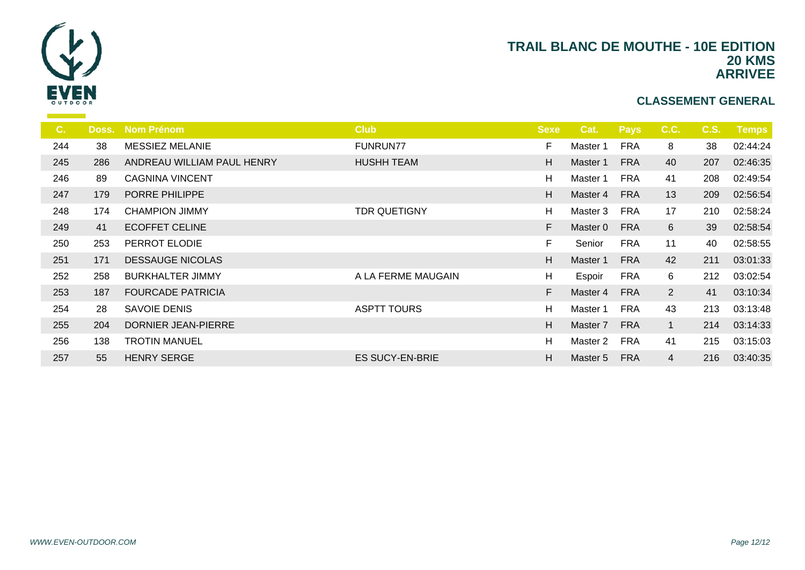

| $C_{1}$ | Doss. | <b>Nom Prénom</b>          | <b>Club</b>            | <b>Sexe</b> | Cat.     | <b>Pays</b> | C.C.           | <b>C.S.</b> | <b>Temps</b> |
|---------|-------|----------------------------|------------------------|-------------|----------|-------------|----------------|-------------|--------------|
| 244     | 38    | <b>MESSIEZ MELANIE</b>     | <b>FUNRUN77</b>        | F           | Master 1 | <b>FRA</b>  | 8              | 38          | 02:44:24     |
| 245     | 286   | ANDREAU WILLIAM PAUL HENRY | <b>HUSHH TEAM</b>      | H           | Master 1 | <b>FRA</b>  | 40             | 207         | 02:46:35     |
| 246     | 89    | <b>CAGNINA VINCENT</b>     |                        | H           | Master 1 | <b>FRA</b>  | 41             | 208         | 02:49:54     |
| 247     | 179   | PORRE PHILIPPE             |                        | H           | Master 4 | <b>FRA</b>  | 13             | 209         | 02:56:54     |
| 248     | 174   | <b>CHAMPION JIMMY</b>      | <b>TDR QUETIGNY</b>    | H           | Master 3 | <b>FRA</b>  | 17             | 210         | 02:58:24     |
| 249     | 41    | <b>ECOFFET CELINE</b>      |                        | F           | Master 0 | <b>FRA</b>  | 6              | 39          | 02:58:54     |
| 250     | 253   | PERROT ELODIE              |                        | F.          | Senior   | <b>FRA</b>  | 11             | 40          | 02:58:55     |
| 251     | 171   | <b>DESSAUGE NICOLAS</b>    |                        | H           | Master 1 | <b>FRA</b>  | 42             | 211         | 03:01:33     |
| 252     | 258   | <b>BURKHALTER JIMMY</b>    | A LA FERME MAUGAIN     | н           | Espoir   | <b>FRA</b>  | 6              | 212         | 03:02:54     |
| 253     | 187   | <b>FOURCADE PATRICIA</b>   |                        | F           | Master 4 | <b>FRA</b>  | 2 <sup>1</sup> | 41          | 03:10:34     |
| 254     | 28    | <b>SAVOIE DENIS</b>        | <b>ASPTT TOURS</b>     | Н           | Master 1 | <b>FRA</b>  | 43             | 213         | 03:13:48     |
| 255     | 204   | DORNIER JEAN-PIERRE        |                        | H           | Master 7 | <b>FRA</b>  | $\mathbf{1}$   | 214         | 03:14:33     |
| 256     | 138   | <b>TROTIN MANUEL</b>       |                        | H           | Master 2 | <b>FRA</b>  | 41             | 215         | 03:15:03     |
| 257     | 55    | <b>HENRY SERGE</b>         | <b>ES SUCY-EN-BRIE</b> | H           | Master 5 | <b>FRA</b>  | 4              | 216         | 03:40:35     |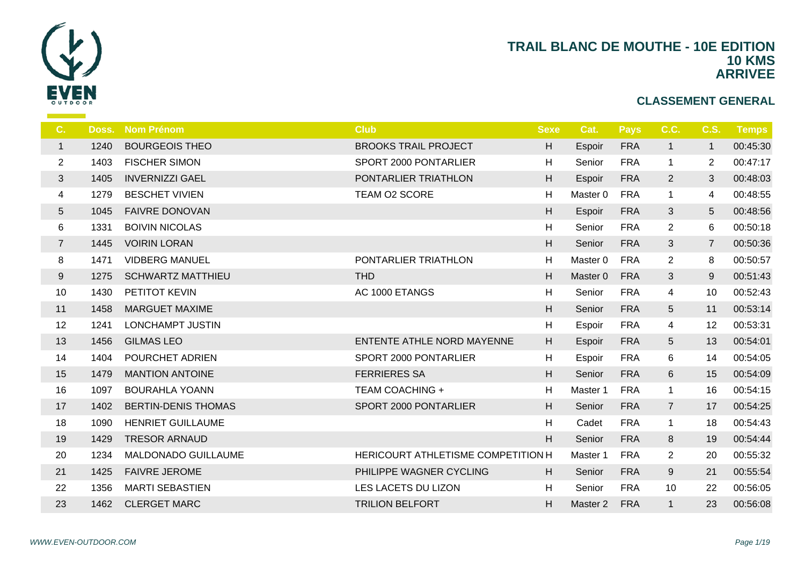

| C.             | Doss. | <b>Nom Prénom</b>          | <b>Club</b>                               | <b>Sexe</b> | Cat.     | <b>Pays</b> | C.C.            | <b>C.S.</b>     | <b>Temps</b> |
|----------------|-------|----------------------------|-------------------------------------------|-------------|----------|-------------|-----------------|-----------------|--------------|
| $\mathbf{1}$   | 1240  | <b>BOURGEOIS THEO</b>      | <b>BROOKS TRAIL PROJECT</b>               | H           | Espoir   | <b>FRA</b>  | $\mathbf{1}$    | $\mathbf{1}$    | 00:45:30     |
| $\overline{2}$ | 1403  | <b>FISCHER SIMON</b>       | SPORT 2000 PONTARLIER                     | H           | Senior   | <b>FRA</b>  | $\mathbf{1}$    | $\overline{2}$  | 00:47:17     |
| $\mathfrak{S}$ | 1405  | <b>INVERNIZZI GAEL</b>     | PONTARLIER TRIATHLON                      | H           | Espoir   | <b>FRA</b>  | $\overline{2}$  | 3               | 00:48:03     |
| 4              | 1279  | <b>BESCHET VIVIEN</b>      | TEAM O2 SCORE                             | H           | Master 0 | <b>FRA</b>  | $\mathbf{1}$    | 4               | 00:48:55     |
| 5              | 1045  | <b>FAIVRE DONOVAN</b>      |                                           | H           | Espoir   | <b>FRA</b>  | 3               | $5\phantom{.0}$ | 00:48:56     |
| 6              | 1331  | <b>BOIVIN NICOLAS</b>      |                                           | H           | Senior   | <b>FRA</b>  | $\overline{2}$  | 6               | 00:50:18     |
| $\overline{7}$ | 1445  | <b>VOIRIN LORAN</b>        |                                           | H           | Senior   | <b>FRA</b>  | 3               | $\overline{7}$  | 00:50:36     |
| 8              | 1471  | <b>VIDBERG MANUEL</b>      | PONTARLIER TRIATHLON                      | H           | Master 0 | <b>FRA</b>  | $\overline{2}$  | 8               | 00:50:57     |
| 9              | 1275  | <b>SCHWARTZ MATTHIEU</b>   | <b>THD</b>                                | H           | Master 0 | <b>FRA</b>  | 3               | 9               | 00:51:43     |
| 10             | 1430  | PETITOT KEVIN              | AC 1000 ETANGS                            | H           | Senior   | <b>FRA</b>  | 4               | 10              | 00:52:43     |
| 11             | 1458  | <b>MARGUET MAXIME</b>      |                                           | H           | Senior   | <b>FRA</b>  | $5\overline{)}$ | 11              | 00:53:14     |
| 12             | 1241  | LONCHAMPT JUSTIN           |                                           | H           | Espoir   | <b>FRA</b>  | 4               | 12              | 00:53:31     |
| 13             | 1456  | <b>GILMAS LEO</b>          | ENTENTE ATHLE NORD MAYENNE                | H           | Espoir   | <b>FRA</b>  | $5\overline{)}$ | 13              | 00:54:01     |
| 14             | 1404  | POURCHET ADRIEN            | SPORT 2000 PONTARLIER                     | H           | Espoir   | <b>FRA</b>  | 6               | 14              | 00:54:05     |
| 15             | 1479  | <b>MANTION ANTOINE</b>     | <b>FERRIERES SA</b>                       | H           | Senior   | <b>FRA</b>  | 6               | 15              | 00:54:09     |
| 16             | 1097  | <b>BOURAHLA YOANN</b>      | <b>TEAM COACHING +</b>                    | H           | Master 1 | <b>FRA</b>  | $\mathbf{1}$    | 16              | 00:54:15     |
| 17             | 1402  | <b>BERTIN-DENIS THOMAS</b> | SPORT 2000 PONTARLIER                     | H           | Senior   | <b>FRA</b>  | $\overline{7}$  | 17              | 00:54:25     |
| 18             | 1090  | <b>HENRIET GUILLAUME</b>   |                                           | H           | Cadet    | <b>FRA</b>  | $\mathbf 1$     | 18              | 00:54:43     |
| 19             | 1429  | <b>TRESOR ARNAUD</b>       |                                           | H           | Senior   | <b>FRA</b>  | 8               | 19              | 00:54:44     |
| 20             | 1234  | <b>MALDONADO GUILLAUME</b> | <b>HERICOURT ATHLETISME COMPETITION H</b> |             | Master 1 | <b>FRA</b>  | $\overline{2}$  | 20              | 00:55:32     |
| 21             | 1425  | <b>FAIVRE JEROME</b>       | PHILIPPE WAGNER CYCLING                   | H           | Senior   | <b>FRA</b>  | 9               | 21              | 00:55:54     |
| 22             | 1356  | <b>MARTI SEBASTIEN</b>     | LES LACETS DU LIZON                       | H           | Senior   | <b>FRA</b>  | 10              | 22              | 00:56:05     |
| 23             | 1462  | <b>CLERGET MARC</b>        | <b>TRILION BELFORT</b>                    | H           | Master 2 | <b>FRA</b>  | $\mathbf{1}$    | 23              | 00:56:08     |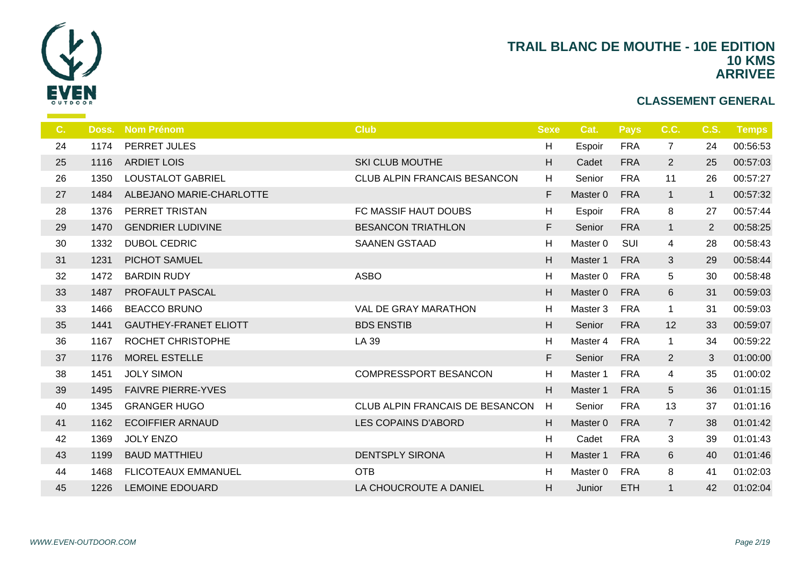

| C. | Doss. | <b>Nom Prénom</b>            | <b>Club</b>                     | <b>Sexe</b> | Cat.     | <b>Pays</b> | C.C.            | <b>C.S.</b>    | <b>Temps</b> |
|----|-------|------------------------------|---------------------------------|-------------|----------|-------------|-----------------|----------------|--------------|
| 24 | 1174  | PERRET JULES                 |                                 | н           | Espoir   | <b>FRA</b>  | $\overline{7}$  | 24             | 00:56:53     |
| 25 | 1116  | <b>ARDIET LOIS</b>           | <b>SKI CLUB MOUTHE</b>          | H           | Cadet    | <b>FRA</b>  | $\overline{2}$  | 25             | 00:57:03     |
| 26 | 1350  | <b>LOUSTALOT GABRIEL</b>     | CLUB ALPIN FRANCAIS BESANCON    | H           | Senior   | <b>FRA</b>  | 11              | 26             | 00:57:27     |
| 27 | 1484  | ALBEJANO MARIE-CHARLOTTE     |                                 | $\mathsf F$ | Master 0 | <b>FRA</b>  | $\mathbf{1}$    | $\mathbf{1}$   | 00:57:32     |
| 28 | 1376  | PERRET TRISTAN               | FC MASSIF HAUT DOUBS            | н           | Espoir   | <b>FRA</b>  | 8               | 27             | 00:57:44     |
| 29 | 1470  | <b>GENDRIER LUDIVINE</b>     | <b>BESANCON TRIATHLON</b>       | F           | Senior   | <b>FRA</b>  | $\mathbf{1}$    | $\overline{2}$ | 00:58:25     |
| 30 | 1332  | <b>DUBOL CEDRIC</b>          | <b>SAANEN GSTAAD</b>            | H           | Master 0 | SUI         | $\overline{4}$  | 28             | 00:58:43     |
| 31 | 1231  | <b>PICHOT SAMUEL</b>         |                                 | H           | Master 1 | <b>FRA</b>  | 3               | 29             | 00:58:44     |
| 32 | 1472  | <b>BARDIN RUDY</b>           | <b>ASBO</b>                     | H           | Master 0 | <b>FRA</b>  | 5               | 30             | 00:58:48     |
| 33 | 1487  | PROFAULT PASCAL              |                                 | H           | Master 0 | <b>FRA</b>  | 6               | 31             | 00:59:03     |
| 33 | 1466  | <b>BEACCO BRUNO</b>          | <b>VAL DE GRAY MARATHON</b>     | H           | Master 3 | <b>FRA</b>  | $\mathbf{1}$    | 31             | 00:59:03     |
| 35 | 1441  | <b>GAUTHEY-FRANET ELIOTT</b> | <b>BDS ENSTIB</b>               | H.          | Senior   | <b>FRA</b>  | 12              | 33             | 00:59:07     |
| 36 | 1167  | ROCHET CHRISTOPHE            | LA 39                           | H           | Master 4 | <b>FRA</b>  | $\mathbf{1}$    | 34             | 00:59:22     |
| 37 | 1176  | <b>MOREL ESTELLE</b>         |                                 | F           | Senior   | <b>FRA</b>  | $\overline{2}$  | 3              | 01:00:00     |
| 38 | 1451  | <b>JOLY SIMON</b>            | <b>COMPRESSPORT BESANCON</b>    | H           | Master 1 | <b>FRA</b>  | $\overline{4}$  | 35             | 01:00:02     |
| 39 | 1495  | <b>FAIVRE PIERRE-YVES</b>    |                                 | H.          | Master 1 | <b>FRA</b>  | $5\phantom{.0}$ | 36             | 01:01:15     |
| 40 | 1345  | <b>GRANGER HUGO</b>          | CLUB ALPIN FRANCAIS DE BESANCON | H           | Senior   | <b>FRA</b>  | 13              | 37             | 01:01:16     |
| 41 | 1162  | <b>ECOIFFIER ARNAUD</b>      | LES COPAINS D'ABORD             | H           | Master 0 | <b>FRA</b>  | $\overline{7}$  | 38             | 01:01:42     |
| 42 | 1369  | <b>JOLY ENZO</b>             |                                 | н           | Cadet    | <b>FRA</b>  | 3               | 39             | 01:01:43     |
| 43 | 1199  | <b>BAUD MATTHIEU</b>         | <b>DENTSPLY SIRONA</b>          | H           | Master 1 | <b>FRA</b>  | 6               | 40             | 01:01:46     |
| 44 | 1468  | <b>FLICOTEAUX EMMANUEL</b>   | <b>OTB</b>                      | H           | Master 0 | <b>FRA</b>  | 8               | 41             | 01:02:03     |
| 45 | 1226  | <b>LEMOINE EDOUARD</b>       | LA CHOUCROUTE A DANIEL          | H           | Junior   | <b>ETH</b>  | $\mathbf{1}$    | 42             | 01:02:04     |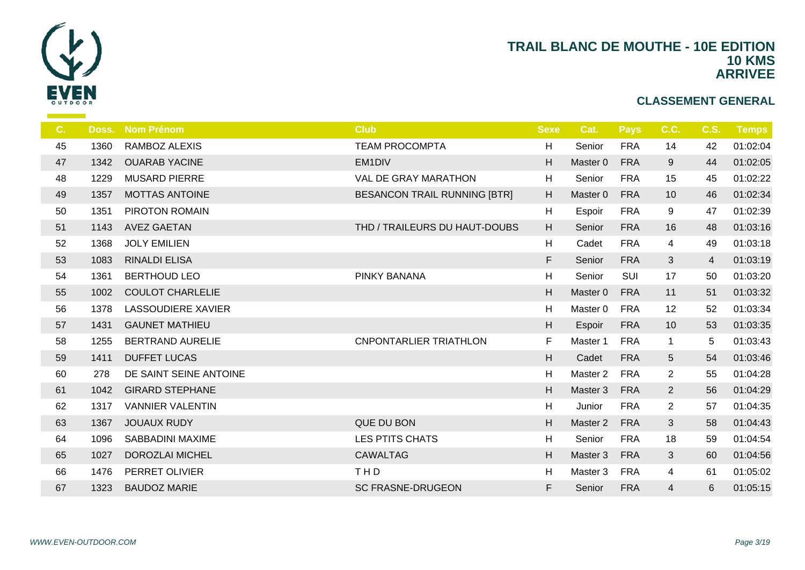

| C. | Doss. | <b>Nom Prénom</b>         | <b>Club</b>                         | <b>Sexe</b>  | Cat.                | <b>Pays</b> | C.C.                     | C.S.           | <b>Temps</b> |
|----|-------|---------------------------|-------------------------------------|--------------|---------------------|-------------|--------------------------|----------------|--------------|
| 45 | 1360  | <b>RAMBOZ ALEXIS</b>      | <b>TEAM PROCOMPTA</b>               | Н            | Senior              | <b>FRA</b>  | 14                       | 42             | 01:02:04     |
| 47 | 1342  | <b>OUARAB YACINE</b>      | EM1DIV                              | H            | Master 0            | <b>FRA</b>  | 9                        | 44             | 01:02:05     |
| 48 | 1229  | <b>MUSARD PIERRE</b>      | VAL DE GRAY MARATHON                | н            | Senior              | <b>FRA</b>  | 15                       | 45             | 01:02:22     |
| 49 | 1357  | <b>MOTTAS ANTOINE</b>     | <b>BESANCON TRAIL RUNNING [BTR]</b> | H            | Master 0            | <b>FRA</b>  | 10                       | 46             | 01:02:34     |
| 50 | 1351  | <b>PIROTON ROMAIN</b>     |                                     | н            | Espoir              | <b>FRA</b>  | 9                        | 47             | 01:02:39     |
| 51 | 1143  | <b>AVEZ GAETAN</b>        | THD / TRAILEURS DU HAUT-DOUBS       | H            | Senior              | <b>FRA</b>  | 16                       | 48             | 01:03:16     |
| 52 | 1368  | <b>JOLY EMILIEN</b>       |                                     | H            | Cadet               | <b>FRA</b>  | $\overline{\mathcal{A}}$ | 49             | 01:03:18     |
| 53 | 1083  | <b>RINALDI ELISA</b>      |                                     | F            | Senior              | <b>FRA</b>  | 3                        | $\overline{4}$ | 01:03:19     |
| 54 | 1361  | <b>BERTHOUD LEO</b>       | <b>PINKY BANANA</b>                 | Н            | Senior              | SUI         | 17                       | 50             | 01:03:20     |
| 55 | 1002  | <b>COULOT CHARLELIE</b>   |                                     | H            | Master 0            | <b>FRA</b>  | 11                       | 51             | 01:03:32     |
| 56 | 1378  | <b>LASSOUDIERE XAVIER</b> |                                     | H            | Master 0            | <b>FRA</b>  | 12                       | 52             | 01:03:34     |
| 57 | 1431  | <b>GAUNET MATHIEU</b>     |                                     | H            | Espoir              | <b>FRA</b>  | 10                       | 53             | 01:03:35     |
| 58 | 1255  | <b>BERTRAND AURELIE</b>   | <b>CNPONTARLIER TRIATHLON</b>       | F            | Master 1            | <b>FRA</b>  | $\mathbf{1}$             | 5              | 01:03:43     |
| 59 | 1411  | <b>DUFFET LUCAS</b>       |                                     | H            | Cadet               | <b>FRA</b>  | 5                        | 54             | 01:03:46     |
| 60 | 278   | DE SAINT SEINE ANTOINE    |                                     | $\mathsf{H}$ | Master <sub>2</sub> | <b>FRA</b>  | $\overline{2}$           | 55             | 01:04:28     |
| 61 | 1042  | <b>GIRARD STEPHANE</b>    |                                     | H            | Master 3            | <b>FRA</b>  | $\overline{2}$           | 56             | 01:04:29     |
| 62 | 1317  | <b>VANNIER VALENTIN</b>   |                                     | н            | Junior              | <b>FRA</b>  | $\overline{2}$           | 57             | 01:04:35     |
| 63 | 1367  | <b>JOUAUX RUDY</b>        | QUE DU BON                          | H            | Master 2            | <b>FRA</b>  | 3                        | 58             | 01:04:43     |
| 64 | 1096  | <b>SABBADINI MAXIME</b>   | <b>LES PTITS CHATS</b>              | H            | Senior              | <b>FRA</b>  | 18                       | 59             | 01:04:54     |
| 65 | 1027  | <b>DOROZLAI MICHEL</b>    | <b>CAWALTAG</b>                     | H            | Master 3            | <b>FRA</b>  | 3                        | 60             | 01:04:56     |
| 66 | 1476  | PERRET OLIVIER            | THD                                 | Н            | Master 3            | <b>FRA</b>  | 4                        | 61             | 01:05:02     |
| 67 | 1323  | <b>BAUDOZ MARIE</b>       | <b>SC FRASNE-DRUGEON</b>            | F            | Senior              | <b>FRA</b>  | 4                        | 6              | 01:05:15     |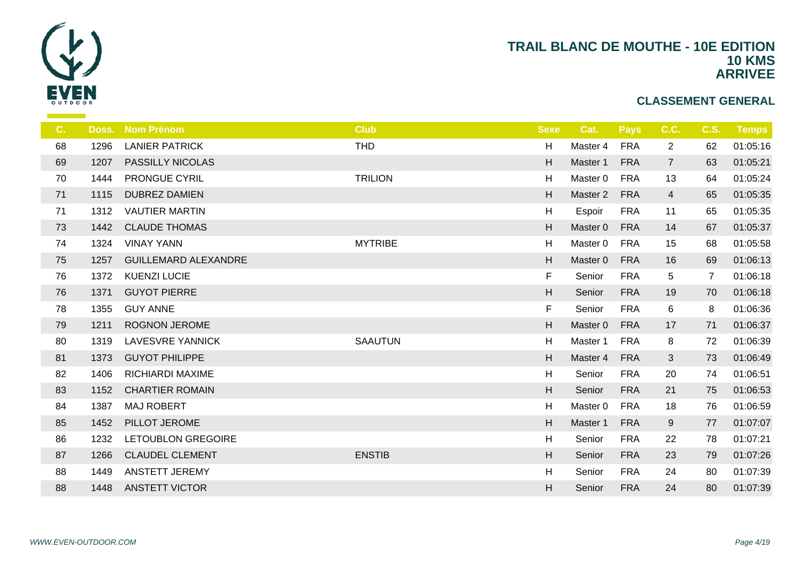

| C. | Doss. | <b>Nom Prénom</b>           | <b>Club</b>    | <b>Sexe</b> | Cat.                | <b>Pays</b> | C.C.            | <b>C.S.</b>    | <b>Temps</b> |
|----|-------|-----------------------------|----------------|-------------|---------------------|-------------|-----------------|----------------|--------------|
| 68 | 1296  | <b>LANIER PATRICK</b>       | <b>THD</b>     | H           | Master 4            | <b>FRA</b>  | $\overline{2}$  | 62             | 01:05:16     |
| 69 | 1207  | <b>PASSILLY NICOLAS</b>     |                | H           | Master 1            | <b>FRA</b>  | $7\overline{ }$ | 63             | 01:05:21     |
| 70 | 1444  | <b>PRONGUE CYRIL</b>        | <b>TRILION</b> | H           | Master 0            | <b>FRA</b>  | 13              | 64             | 01:05:24     |
| 71 | 1115  | <b>DUBREZ DAMIEN</b>        |                | H           | Master <sub>2</sub> | <b>FRA</b>  | $\overline{4}$  | 65             | 01:05:35     |
| 71 | 1312  | <b>VAUTIER MARTIN</b>       |                | H           | Espoir              | <b>FRA</b>  | 11              | 65             | 01:05:35     |
| 73 | 1442  | <b>CLAUDE THOMAS</b>        |                | H           | Master 0            | <b>FRA</b>  | 14              | 67             | 01:05:37     |
| 74 | 1324  | <b>VINAY YANN</b>           | <b>MYTRIBE</b> | H           | Master 0            | <b>FRA</b>  | 15              | 68             | 01:05:58     |
| 75 | 1257  | <b>GUILLEMARD ALEXANDRE</b> |                | H           | Master 0            | <b>FRA</b>  | 16              | 69             | 01:06:13     |
| 76 | 1372  | <b>KUENZI LUCIE</b>         |                | $\mathsf F$ | Senior              | <b>FRA</b>  | 5               | $\overline{7}$ | 01:06:18     |
| 76 | 1371  | <b>GUYOT PIERRE</b>         |                | H           | Senior              | <b>FRA</b>  | 19              | 70             | 01:06:18     |
| 78 | 1355  | <b>GUY ANNE</b>             |                | F           | Senior              | <b>FRA</b>  | 6               | 8              | 01:06:36     |
| 79 | 1211  | <b>ROGNON JEROME</b>        |                | H           | Master 0            | <b>FRA</b>  | 17              | 71             | 01:06:37     |
| 80 | 1319  | <b>LAVESVRE YANNICK</b>     | <b>SAAUTUN</b> | H           | Master 1            | <b>FRA</b>  | 8               | 72             | 01:06:39     |
| 81 | 1373  | <b>GUYOT PHILIPPE</b>       |                | H           | Master 4            | <b>FRA</b>  | $\mathbf{3}$    | 73             | 01:06:49     |
| 82 | 1406  | RICHIARDI MAXIME            |                | H           | Senior              | <b>FRA</b>  | 20              | 74             | 01:06:51     |
| 83 | 1152  | <b>CHARTIER ROMAIN</b>      |                | H           | Senior              | <b>FRA</b>  | 21              | 75             | 01:06:53     |
| 84 | 1387  | <b>MAJ ROBERT</b>           |                | H           | Master 0            | <b>FRA</b>  | 18              | 76             | 01:06:59     |
| 85 | 1452  | PILLOT JEROME               |                | H           | Master 1            | <b>FRA</b>  | 9               | 77             | 01:07:07     |
| 86 | 1232  | <b>LETOUBLON GREGOIRE</b>   |                | H           | Senior              | <b>FRA</b>  | 22              | 78             | 01:07:21     |
| 87 | 1266  | <b>CLAUDEL CLEMENT</b>      | <b>ENSTIB</b>  | H           | Senior              | <b>FRA</b>  | 23              | 79             | 01:07:26     |
| 88 | 1449  | ANSTETT JEREMY              |                | H           | Senior              | <b>FRA</b>  | 24              | 80             | 01:07:39     |
| 88 | 1448  | <b>ANSTETT VICTOR</b>       |                | H           | Senior              | <b>FRA</b>  | 24              | 80             | 01:07:39     |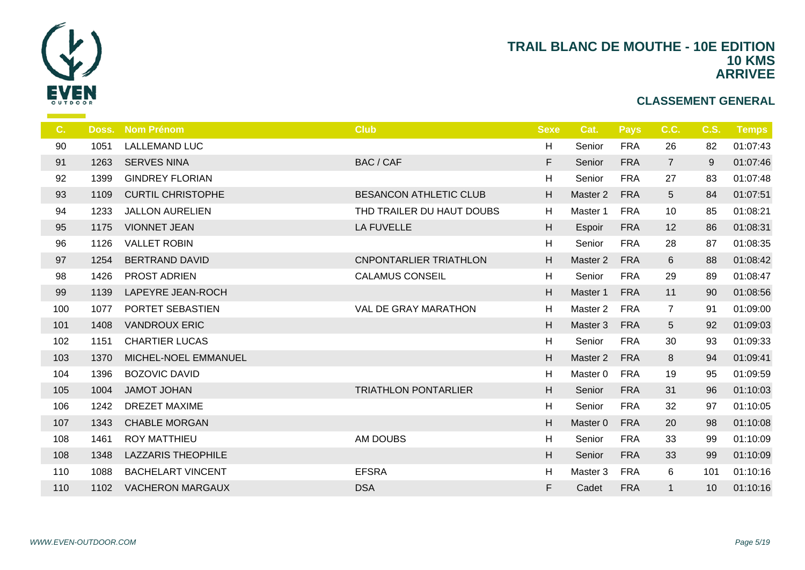

| C.  | Doss. | <b>Nom Prénom</b>         | <b>Club</b>                   | <b>Sexe</b> | Cat.                | <b>Pays</b> | C.C.            | <b>C.S.</b> | Temps    |
|-----|-------|---------------------------|-------------------------------|-------------|---------------------|-------------|-----------------|-------------|----------|
| 90  | 1051  | <b>LALLEMAND LUC</b>      |                               | H           | Senior              | <b>FRA</b>  | 26              | 82          | 01:07:43 |
| 91  | 1263  | <b>SERVES NINA</b>        | <b>BAC / CAF</b>              | F           | Senior              | <b>FRA</b>  | $\overline{7}$  | 9           | 01:07:46 |
| 92  | 1399  | <b>GINDREY FLORIAN</b>    |                               | H           | Senior              | <b>FRA</b>  | 27              | 83          | 01:07:48 |
| 93  | 1109  | <b>CURTIL CHRISTOPHE</b>  | <b>BESANCON ATHLETIC CLUB</b> | H           | Master <sub>2</sub> | <b>FRA</b>  | $5\phantom{.0}$ | 84          | 01:07:51 |
| 94  | 1233  | <b>JALLON AURELIEN</b>    | THD TRAILER DU HAUT DOUBS     | H           | Master 1            | <b>FRA</b>  | 10              | 85          | 01:08:21 |
| 95  | 1175  | <b>VIONNET JEAN</b>       | <b>LA FUVELLE</b>             | H           | Espoir              | <b>FRA</b>  | 12              | 86          | 01:08:31 |
| 96  | 1126  | <b>VALLET ROBIN</b>       |                               | H           | Senior              | <b>FRA</b>  | 28              | 87          | 01:08:35 |
| 97  | 1254  | <b>BERTRAND DAVID</b>     | <b>CNPONTARLIER TRIATHLON</b> | H           | Master <sub>2</sub> | <b>FRA</b>  | 6               | 88          | 01:08:42 |
| 98  | 1426  | <b>PROST ADRIEN</b>       | <b>CALAMUS CONSEIL</b>        | H           | Senior              | <b>FRA</b>  | 29              | 89          | 01:08:47 |
| 99  | 1139  | LAPEYRE JEAN-ROCH         |                               | H           | Master 1            | <b>FRA</b>  | 11              | 90          | 01:08:56 |
| 100 | 1077  | PORTET SEBASTIEN          | VAL DE GRAY MARATHON          | H           | Master 2            | <b>FRA</b>  | $\overline{7}$  | 91          | 01:09:00 |
| 101 | 1408  | <b>VANDROUX ERIC</b>      |                               | H           | Master 3            | <b>FRA</b>  | 5               | 92          | 01:09:03 |
| 102 | 1151  | <b>CHARTIER LUCAS</b>     |                               | H           | Senior              | <b>FRA</b>  | 30              | 93          | 01:09:33 |
| 103 | 1370  | MICHEL-NOEL EMMANUEL      |                               | H           | Master 2            | <b>FRA</b>  | 8               | 94          | 01:09:41 |
| 104 | 1396  | <b>BOZOVIC DAVID</b>      |                               | H           | Master 0            | <b>FRA</b>  | 19              | 95          | 01:09:59 |
| 105 | 1004  | <b>JAMOT JOHAN</b>        | <b>TRIATHLON PONTARLIER</b>   | H           | Senior              | <b>FRA</b>  | 31              | 96          | 01:10:03 |
| 106 | 1242  | <b>DREZET MAXIME</b>      |                               | H           | Senior              | <b>FRA</b>  | 32              | 97          | 01:10:05 |
| 107 | 1343  | <b>CHABLE MORGAN</b>      |                               | H           | Master <sub>0</sub> | <b>FRA</b>  | 20              | 98          | 01:10:08 |
| 108 | 1461  | <b>ROY MATTHIEU</b>       | AM DOUBS                      | H           | Senior              | <b>FRA</b>  | 33              | 99          | 01:10:09 |
| 108 | 1348  | <b>LAZZARIS THEOPHILE</b> |                               | H           | Senior              | <b>FRA</b>  | 33              | 99          | 01:10:09 |
| 110 | 1088  | <b>BACHELART VINCENT</b>  | <b>EFSRA</b>                  | H           | Master 3            | <b>FRA</b>  | 6               | 101         | 01:10:16 |
| 110 | 1102  | <b>VACHERON MARGAUX</b>   | <b>DSA</b>                    | F           | Cadet               | <b>FRA</b>  | $\mathbf{1}$    | 10          | 01:10:16 |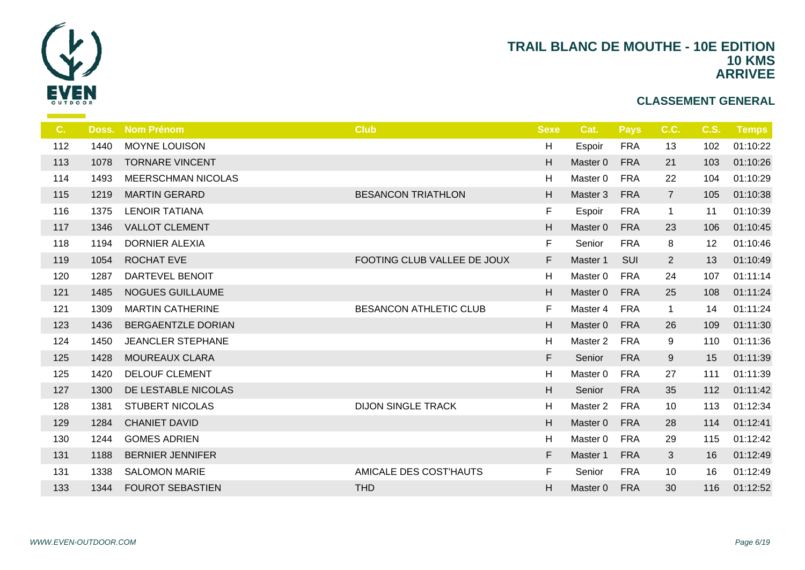

| C.  | Doss. | <b>Nom Prénom</b>         | <b>Club</b>                   | <b>Sexe</b> | Cat.                | <b>Pays</b> | C.C.           | <b>C.S.</b> | <b>Temps</b> |
|-----|-------|---------------------------|-------------------------------|-------------|---------------------|-------------|----------------|-------------|--------------|
| 112 | 1440  | <b>MOYNE LOUISON</b>      |                               | H           | Espoir              | <b>FRA</b>  | 13             | 102         | 01:10:22     |
| 113 | 1078  | <b>TORNARE VINCENT</b>    |                               | H           | Master 0            | <b>FRA</b>  | 21             | 103         | 01:10:26     |
| 114 | 1493  | <b>MEERSCHMAN NICOLAS</b> |                               | H           | Master 0            | <b>FRA</b>  | 22             | 104         | 01:10:29     |
| 115 | 1219  | <b>MARTIN GERARD</b>      | <b>BESANCON TRIATHLON</b>     | H           | Master 3            | <b>FRA</b>  | $\overline{7}$ | 105         | 01:10:38     |
| 116 | 1375  | <b>LENOIR TATIANA</b>     |                               | $\mathsf F$ | Espoir              | <b>FRA</b>  | $\mathbf{1}$   | 11          | 01:10:39     |
| 117 | 1346  | <b>VALLOT CLEMENT</b>     |                               | H           | Master 0            | <b>FRA</b>  | 23             | 106         | 01:10:45     |
| 118 | 1194  | <b>DORNIER ALEXIA</b>     |                               | F.          | Senior              | <b>FRA</b>  | 8              | 12          | 01:10:46     |
| 119 | 1054  | <b>ROCHAT EVE</b>         | FOOTING CLUB VALLEE DE JOUX   | F           | Master 1            | SUI         | $2^{\circ}$    | 13          | 01:10:49     |
| 120 | 1287  | DARTEVEL BENOIT           |                               | H           | Master 0            | <b>FRA</b>  | 24             | 107         | 01:11:14     |
| 121 | 1485  | NOGUES GUILLAUME          |                               | H           | Master 0            | <b>FRA</b>  | 25             | 108         | 01:11:24     |
| 121 | 1309  | <b>MARTIN CATHERINE</b>   | <b>BESANCON ATHLETIC CLUB</b> | F           | Master 4            | <b>FRA</b>  | $\mathbf{1}$   | 14          | 01:11:24     |
| 123 | 1436  | <b>BERGAENTZLE DORIAN</b> |                               | H           | Master 0            | <b>FRA</b>  | 26             | 109         | 01:11:30     |
| 124 | 1450  | <b>JEANCLER STEPHANE</b>  |                               | H           | Master <sub>2</sub> | <b>FRA</b>  | 9              | 110         | 01:11:36     |
| 125 | 1428  | <b>MOUREAUX CLARA</b>     |                               | F           | Senior              | <b>FRA</b>  | 9              | 15          | 01:11:39     |
| 125 | 1420  | <b>DELOUF CLEMENT</b>     |                               | H           | Master <sub>0</sub> | <b>FRA</b>  | 27             | 111         | 01:11:39     |
| 127 | 1300  | DE LESTABLE NICOLAS       |                               | H           | Senior              | <b>FRA</b>  | 35             | 112         | 01:11:42     |
| 128 | 1381  | <b>STUBERT NICOLAS</b>    | <b>DIJON SINGLE TRACK</b>     | H           | Master 2            | <b>FRA</b>  | 10             | 113         | 01:12:34     |
| 129 | 1284  | <b>CHANIET DAVID</b>      |                               | H           | Master 0            | <b>FRA</b>  | 28             | 114         | 01:12:41     |
| 130 | 1244  | <b>GOMES ADRIEN</b>       |                               | H           | Master 0            | <b>FRA</b>  | 29             | 115         | 01:12:42     |
| 131 | 1188  | <b>BERNIER JENNIFER</b>   |                               | F           | Master 1            | <b>FRA</b>  | 3              | 16          | 01:12:49     |
| 131 | 1338  | <b>SALOMON MARIE</b>      | AMICALE DES COST'HAUTS        | F           | Senior              | <b>FRA</b>  | 10             | 16          | 01:12:49     |
| 133 | 1344  | <b>FOUROT SEBASTIEN</b>   | <b>THD</b>                    | H           | Master 0            | <b>FRA</b>  | 30             | 116         | 01:12:52     |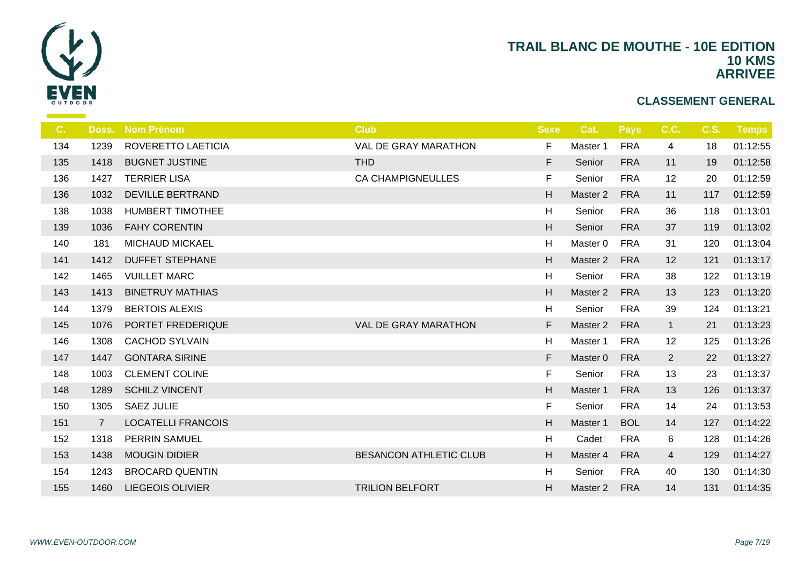

| C.  | Doss.          | <b>Nom Prénom</b>         | <b>Club</b>                   | <b>Sexe</b>  | Cat.                | <b>Pays</b> | C.C.           | <b>C.S.</b> | Temps    |
|-----|----------------|---------------------------|-------------------------------|--------------|---------------------|-------------|----------------|-------------|----------|
| 134 | 1239           | ROVERETTO LAETICIA        | VAL DE GRAY MARATHON          | F            | Master 1            | <b>FRA</b>  | 4              | 18          | 01:12:55 |
| 135 | 1418           | <b>BUGNET JUSTINE</b>     | <b>THD</b>                    | F            | Senior              | <b>FRA</b>  | 11             | 19          | 01:12:58 |
| 136 | 1427           | <b>TERRIER LISA</b>       | <b>CA CHAMPIGNEULLES</b>      | F            | Senior              | <b>FRA</b>  | 12             | 20          | 01:12:59 |
| 136 | 1032           | <b>DEVILLE BERTRAND</b>   |                               | H            | Master <sub>2</sub> | <b>FRA</b>  | 11             | 117         | 01:12:59 |
| 138 | 1038           | <b>HUMBERT TIMOTHEE</b>   |                               | $\mathsf{H}$ | Senior              | <b>FRA</b>  | 36             | 118         | 01:13:01 |
| 139 | 1036           | <b>FAHY CORENTIN</b>      |                               | H            | Senior              | <b>FRA</b>  | 37             | 119         | 01:13:02 |
| 140 | 181            | <b>MICHAUD MICKAEL</b>    |                               | H            | Master <sub>0</sub> | <b>FRA</b>  | 31             | 120         | 01:13:04 |
| 141 | 1412           | <b>DUFFET STEPHANE</b>    |                               | H            | Master 2            | <b>FRA</b>  | 12             | 121         | 01:13:17 |
| 142 | 1465           | <b>VUILLET MARC</b>       |                               | H            | Senior              | <b>FRA</b>  | 38             | 122         | 01:13:19 |
| 143 | 1413           | <b>BINETRUY MATHIAS</b>   |                               | H            | Master <sub>2</sub> | <b>FRA</b>  | 13             | 123         | 01:13:20 |
| 144 | 1379           | <b>BERTOIS ALEXIS</b>     |                               | H            | Senior              | <b>FRA</b>  | 39             | 124         | 01:13:21 |
| 145 | 1076           | PORTET FREDERIQUE         | VAL DE GRAY MARATHON          | F            | Master <sub>2</sub> | <b>FRA</b>  | $\mathbf{1}$   | 21          | 01:13:23 |
| 146 | 1308           | <b>CACHOD SYLVAIN</b>     |                               | H            | Master 1            | <b>FRA</b>  | 12             | 125         | 01:13:26 |
| 147 | 1447           | <b>GONTARA SIRINE</b>     |                               | F            | Master 0            | <b>FRA</b>  | $2^{\circ}$    | 22          | 01:13:27 |
| 148 | 1003           | <b>CLEMENT COLINE</b>     |                               | F            | Senior              | <b>FRA</b>  | 13             | 23          | 01:13:37 |
| 148 | 1289           | <b>SCHILZ VINCENT</b>     |                               | H            | Master 1            | <b>FRA</b>  | 13             | 126         | 01:13:37 |
| 150 | 1305           | <b>SAEZ JULIE</b>         |                               | $\mathsf F$  | Senior              | <b>FRA</b>  | 14             | 24          | 01:13:53 |
| 151 | $\overline{7}$ | <b>LOCATELLI FRANCOIS</b> |                               | H            | Master 1            | <b>BOL</b>  | 14             | 127         | 01:14:22 |
| 152 | 1318           | PERRIN SAMUEL             |                               | H            | Cadet               | <b>FRA</b>  | 6              | 128         | 01:14:26 |
| 153 | 1438           | <b>MOUGIN DIDIER</b>      | <b>BESANCON ATHLETIC CLUB</b> | H            | Master 4            | <b>FRA</b>  | $\overline{4}$ | 129         | 01:14:27 |
| 154 | 1243           | <b>BROCARD QUENTIN</b>    |                               | H            | Senior              | <b>FRA</b>  | 40             | 130         | 01:14:30 |
| 155 | 1460           | <b>LIEGEOIS OLIVIER</b>   | <b>TRILION BELFORT</b>        | H            | Master 2            | <b>FRA</b>  | 14             | 131         | 01:14:35 |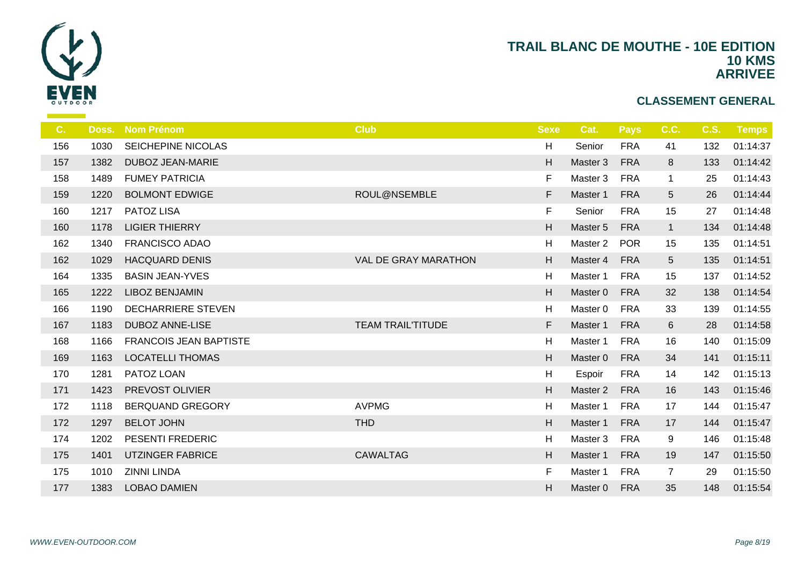

| C.  | Doss. | <b>Nom Prénom</b>             | <b>Club</b>                 | <b>Sexe</b> | Cat.     | <b>Pays</b> | C.C.            | <b>C.S.</b> | Temps    |
|-----|-------|-------------------------------|-----------------------------|-------------|----------|-------------|-----------------|-------------|----------|
| 156 | 1030  | SEICHEPINE NICOLAS            |                             | H           | Senior   | <b>FRA</b>  | 41              | 132         | 01:14:37 |
| 157 | 1382  | <b>DUBOZ JEAN-MARIE</b>       |                             | H           | Master 3 | <b>FRA</b>  | 8               | 133         | 01:14:42 |
| 158 | 1489  | <b>FUMEY PATRICIA</b>         |                             | F           | Master 3 | <b>FRA</b>  | $\mathbf{1}$    | 25          | 01:14:43 |
| 159 | 1220  | <b>BOLMONT EDWIGE</b>         | ROUL@NSEMBLE                | F           | Master 1 | <b>FRA</b>  | $5\phantom{.0}$ | 26          | 01:14:44 |
| 160 | 1217  | <b>PATOZ LISA</b>             |                             | $\mathsf F$ | Senior   | <b>FRA</b>  | 15              | 27          | 01:14:48 |
| 160 | 1178  | <b>LIGIER THIERRY</b>         |                             | H           | Master 5 | <b>FRA</b>  | $\mathbf{1}$    | 134         | 01:14:48 |
| 162 | 1340  | <b>FRANCISCO ADAO</b>         |                             | H           | Master 2 | <b>POR</b>  | 15              | 135         | 01:14:51 |
| 162 | 1029  | <b>HACQUARD DENIS</b>         | <b>VAL DE GRAY MARATHON</b> | H           | Master 4 | <b>FRA</b>  | $5\phantom{.0}$ | 135         | 01:14:51 |
| 164 | 1335  | <b>BASIN JEAN-YVES</b>        |                             | H           | Master 1 | <b>FRA</b>  | 15              | 137         | 01:14:52 |
| 165 | 1222  | <b>LIBOZ BENJAMIN</b>         |                             | H           | Master 0 | <b>FRA</b>  | 32              | 138         | 01:14:54 |
| 166 | 1190  | <b>DECHARRIERE STEVEN</b>     |                             | H           | Master 0 | <b>FRA</b>  | 33              | 139         | 01:14:55 |
| 167 | 1183  | <b>DUBOZ ANNE-LISE</b>        | <b>TEAM TRAIL'TITUDE</b>    | F           | Master 1 | <b>FRA</b>  | 6               | 28          | 01:14:58 |
| 168 | 1166  | <b>FRANCOIS JEAN BAPTISTE</b> |                             | H           | Master 1 | <b>FRA</b>  | 16              | 140         | 01:15:09 |
| 169 | 1163  | <b>LOCATELLI THOMAS</b>       |                             | H           | Master 0 | <b>FRA</b>  | 34              | 141         | 01:15:11 |
| 170 | 1281  | PATOZ LOAN                    |                             | H           | Espoir   | <b>FRA</b>  | 14              | 142         | 01:15:13 |
| 171 | 1423  | PREVOST OLIVIER               |                             | H           | Master 2 | <b>FRA</b>  | 16              | 143         | 01:15:46 |
| 172 | 1118  | <b>BERQUAND GREGORY</b>       | <b>AVPMG</b>                | H           | Master 1 | <b>FRA</b>  | 17              | 144         | 01:15:47 |
| 172 | 1297  | <b>BELOT JOHN</b>             | <b>THD</b>                  | H           | Master 1 | <b>FRA</b>  | 17              | 144         | 01:15:47 |
| 174 | 1202  | PESENTI FREDERIC              |                             | H           | Master 3 | <b>FRA</b>  | 9               | 146         | 01:15:48 |
| 175 | 1401  | <b>UTZINGER FABRICE</b>       | <b>CAWALTAG</b>             | H           | Master 1 | <b>FRA</b>  | 19              | 147         | 01:15:50 |
| 175 | 1010  | <b>ZINNI LINDA</b>            |                             | F           | Master 1 | <b>FRA</b>  | $\overline{7}$  | 29          | 01:15:50 |
| 177 | 1383  | <b>LOBAO DAMIEN</b>           |                             | H           | Master 0 | <b>FRA</b>  | 35              | 148         | 01:15:54 |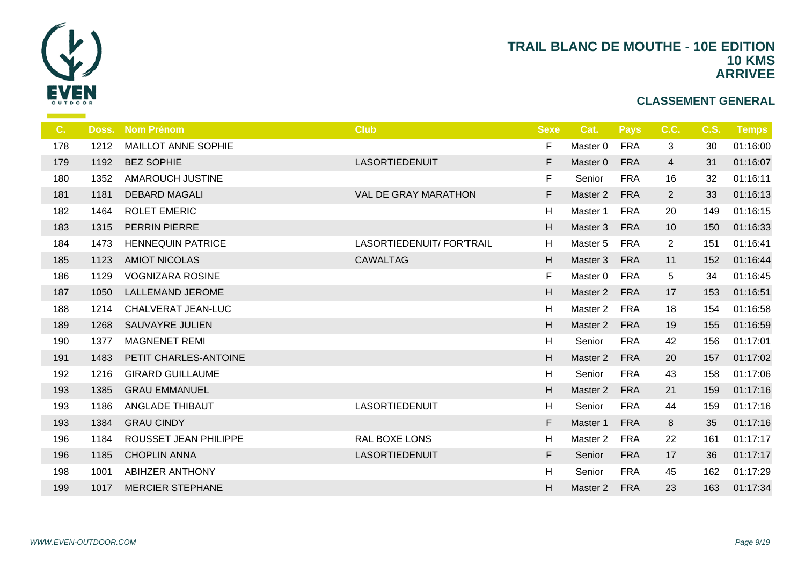

| C.  |      | Doss. Nom Prénom           | <b>Club</b>                 | <b>Sexe</b> | Cat.                | <b>Pays</b> | C.C.           | <b>C.S.</b> | Temps    |
|-----|------|----------------------------|-----------------------------|-------------|---------------------|-------------|----------------|-------------|----------|
| 178 | 1212 | <b>MAILLOT ANNE SOPHIE</b> |                             | F           | Master 0            | <b>FRA</b>  | $\mathfrak{B}$ | 30          | 01:16:00 |
| 179 | 1192 | <b>BEZ SOPHIE</b>          | <b>LASORTIEDENUIT</b>       | F           | Master 0            | <b>FRA</b>  | $\overline{4}$ | 31          | 01:16:07 |
| 180 | 1352 | <b>AMAROUCH JUSTINE</b>    |                             | F           | Senior              | <b>FRA</b>  | 16             | 32          | 01:16:11 |
| 181 | 1181 | <b>DEBARD MAGALI</b>       | <b>VAL DE GRAY MARATHON</b> | F.          | Master 2            | <b>FRA</b>  | $\overline{2}$ | 33          | 01:16:13 |
| 182 | 1464 | <b>ROLET EMERIC</b>        |                             | H           | Master 1            | <b>FRA</b>  | 20             | 149         | 01:16:15 |
| 183 | 1315 | <b>PERRIN PIERRE</b>       |                             | H           | Master 3            | <b>FRA</b>  | 10             | 150         | 01:16:33 |
| 184 | 1473 | <b>HENNEQUIN PATRICE</b>   | LASORTIEDENUIT/ FOR'TRAIL   | H           | Master 5            | <b>FRA</b>  | $\overline{2}$ | 151         | 01:16:41 |
| 185 | 1123 | <b>AMIOT NICOLAS</b>       | <b>CAWALTAG</b>             | H           | Master 3            | <b>FRA</b>  | 11             | 152         | 01:16:44 |
| 186 | 1129 | <b>VOGNIZARA ROSINE</b>    |                             | F           | Master 0            | <b>FRA</b>  | 5              | 34          | 01:16:45 |
| 187 | 1050 | <b>LALLEMAND JEROME</b>    |                             | H           | Master 2            | <b>FRA</b>  | 17             | 153         | 01:16:51 |
| 188 | 1214 | CHALVERAT JEAN-LUC         |                             | H           | Master 2            | <b>FRA</b>  | 18             | 154         | 01:16:58 |
| 189 | 1268 | <b>SAUVAYRE JULIEN</b>     |                             | H           | Master 2            | <b>FRA</b>  | 19             | 155         | 01:16:59 |
| 190 | 1377 | <b>MAGNENET REMI</b>       |                             | H           | Senior              | <b>FRA</b>  | 42             | 156         | 01:17:01 |
| 191 | 1483 | PETIT CHARLES-ANTOINE      |                             | H           | Master 2            | <b>FRA</b>  | 20             | 157         | 01:17:02 |
| 192 | 1216 | <b>GIRARD GUILLAUME</b>    |                             | H           | Senior              | <b>FRA</b>  | 43             | 158         | 01:17:06 |
| 193 | 1385 | <b>GRAU EMMANUEL</b>       |                             | H           | Master 2            | <b>FRA</b>  | 21             | 159         | 01:17:16 |
| 193 | 1186 | ANGLADE THIBAUT            | LASORTIEDENUIT              | H           | Senior              | <b>FRA</b>  | 44             | 159         | 01:17:16 |
| 193 | 1384 | <b>GRAU CINDY</b>          |                             | F.          | Master 1            | <b>FRA</b>  | 8              | 35          | 01:17:16 |
| 196 | 1184 | ROUSSET JEAN PHILIPPE      | <b>RAL BOXE LONS</b>        | H           | Master <sub>2</sub> | <b>FRA</b>  | 22             | 161         | 01:17:17 |
| 196 | 1185 | <b>CHOPLIN ANNA</b>        | <b>LASORTIEDENUIT</b>       | F           | Senior              | <b>FRA</b>  | 17             | 36          | 01:17:17 |
| 198 | 1001 | <b>ABIHZER ANTHONY</b>     |                             | H           | Senior              | <b>FRA</b>  | 45             | 162         | 01:17:29 |
| 199 | 1017 | <b>MERCIER STEPHANE</b>    |                             | H           | Master 2            | <b>FRA</b>  | 23             | 163         | 01:17:34 |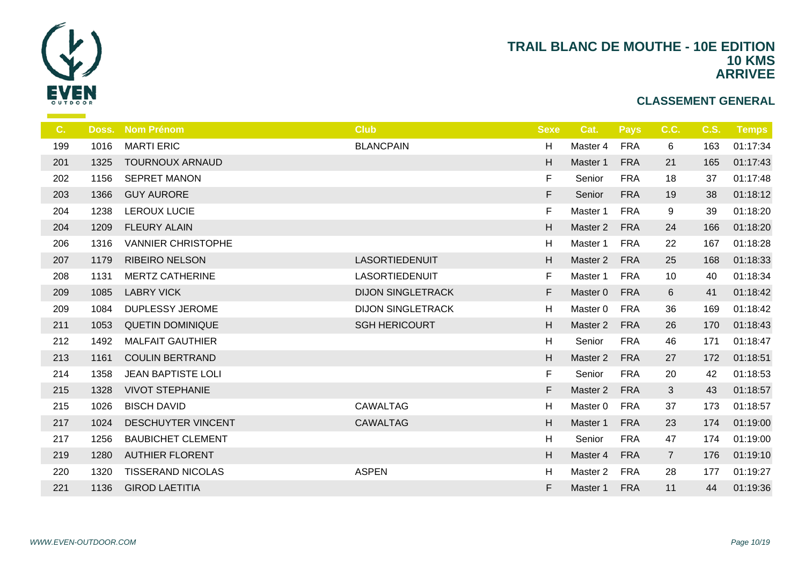

| C.  |      | Doss. Nom Prénom          | <b>Club</b>              | <b>Sexe</b> | Cat.                | <b>Pays</b> | C.C.           | <b>C.S.</b> | <b>Temps</b> |
|-----|------|---------------------------|--------------------------|-------------|---------------------|-------------|----------------|-------------|--------------|
| 199 | 1016 | <b>MARTI ERIC</b>         | <b>BLANCPAIN</b>         | H           | Master 4            | <b>FRA</b>  | 6              | 163         | 01:17:34     |
| 201 | 1325 | <b>TOURNOUX ARNAUD</b>    |                          | H           | Master 1            | <b>FRA</b>  | 21             | 165         | 01:17:43     |
| 202 | 1156 | <b>SEPRET MANON</b>       |                          | F           | Senior              | <b>FRA</b>  | 18             | 37          | 01:17:48     |
| 203 | 1366 | <b>GUY AURORE</b>         |                          | F.          | Senior              | <b>FRA</b>  | 19             | 38          | 01:18:12     |
| 204 | 1238 | <b>LEROUX LUCIE</b>       |                          | F           | Master 1            | <b>FRA</b>  | 9              | 39          | 01:18:20     |
| 204 | 1209 | <b>FLEURY ALAIN</b>       |                          | H           | Master 2            | <b>FRA</b>  | 24             | 166         | 01:18:20     |
| 206 | 1316 | <b>VANNIER CHRISTOPHE</b> |                          | H           | Master 1            | <b>FRA</b>  | 22             | 167         | 01:18:28     |
| 207 | 1179 | <b>RIBEIRO NELSON</b>     | <b>LASORTIEDENUIT</b>    | H           | Master 2            | <b>FRA</b>  | 25             | 168         | 01:18:33     |
| 208 | 1131 | <b>MERTZ CATHERINE</b>    | LASORTIEDENUIT           | F           | Master 1            | <b>FRA</b>  | 10             | 40          | 01:18:34     |
| 209 | 1085 | <b>LABRY VICK</b>         | <b>DIJON SINGLETRACK</b> | F           | Master 0            | <b>FRA</b>  | 6              | 41          | 01:18:42     |
| 209 | 1084 | <b>DUPLESSY JEROME</b>    | <b>DIJON SINGLETRACK</b> | H           | Master 0            | <b>FRA</b>  | 36             | 169         | 01:18:42     |
| 211 | 1053 | <b>QUETIN DOMINIQUE</b>   | <b>SGH HERICOURT</b>     | H           | Master 2            | <b>FRA</b>  | 26             | 170         | 01:18:43     |
| 212 | 1492 | <b>MALFAIT GAUTHIER</b>   |                          | H           | Senior              | <b>FRA</b>  | 46             | 171         | 01:18:47     |
| 213 | 1161 | <b>COULIN BERTRAND</b>    |                          | H           | Master 2            | <b>FRA</b>  | 27             | 172         | 01:18:51     |
| 214 | 1358 | <b>JEAN BAPTISTE LOLI</b> |                          | $\mathsf F$ | Senior              | <b>FRA</b>  | 20             | 42          | 01:18:53     |
| 215 | 1328 | <b>VIVOT STEPHANIE</b>    |                          | F           | Master 2            | <b>FRA</b>  | $\mathbf{3}$   | 43          | 01:18:57     |
| 215 | 1026 | <b>BISCH DAVID</b>        | <b>CAWALTAG</b>          | H           | Master 0            | <b>FRA</b>  | 37             | 173         | 01:18:57     |
| 217 | 1024 | <b>DESCHUYTER VINCENT</b> | <b>CAWALTAG</b>          | H           | Master 1            | <b>FRA</b>  | 23             | 174         | 01:19:00     |
| 217 | 1256 | <b>BAUBICHET CLEMENT</b>  |                          | H           | Senior              | <b>FRA</b>  | 47             | 174         | 01:19:00     |
| 219 | 1280 | <b>AUTHIER FLORENT</b>    |                          | H           | Master 4            | <b>FRA</b>  | $\overline{7}$ | 176         | 01:19:10     |
| 220 | 1320 | <b>TISSERAND NICOLAS</b>  | <b>ASPEN</b>             | H           | Master <sub>2</sub> | <b>FRA</b>  | 28             | 177         | 01:19:27     |
| 221 | 1136 | <b>GIROD LAETITIA</b>     |                          | F           | Master 1            | <b>FRA</b>  | 11             | 44          | 01:19:36     |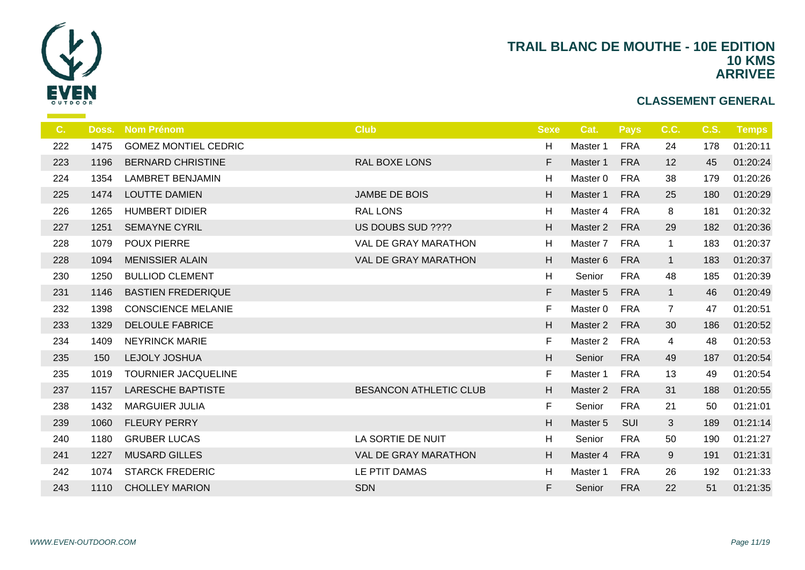

| C.  | Doss. | <b>Nom Prénom</b>           | <b>Club</b>                   | <b>Sexe</b> | Cat.                | <b>Pays</b> | C.C.           | <b>C.S.</b> | <b>Temps</b> |
|-----|-------|-----------------------------|-------------------------------|-------------|---------------------|-------------|----------------|-------------|--------------|
| 222 | 1475  | <b>GOMEZ MONTIEL CEDRIC</b> |                               | н           | Master 1            | <b>FRA</b>  | 24             | 178         | 01:20:11     |
| 223 | 1196  | <b>BERNARD CHRISTINE</b>    | <b>RAL BOXE LONS</b>          | F           | Master 1            | <b>FRA</b>  | 12             | 45          | 01:20:24     |
| 224 | 1354  | <b>LAMBRET BENJAMIN</b>     |                               | Η           | Master 0            | <b>FRA</b>  | 38             | 179         | 01:20:26     |
| 225 | 1474  | <b>LOUTTE DAMIEN</b>        | JAMBE DE BOIS                 | H           | Master 1            | <b>FRA</b>  | 25             | 180         | 01:20:29     |
| 226 | 1265  | <b>HUMBERT DIDIER</b>       | <b>RAL LONS</b>               | H           | Master 4            | <b>FRA</b>  | 8              | 181         | 01:20:32     |
| 227 | 1251  | <b>SEMAYNE CYRIL</b>        | US DOUBS SUD ????             | H           | Master 2            | <b>FRA</b>  | 29             | 182         | 01:20:36     |
| 228 | 1079  | <b>POUX PIERRE</b>          | VAL DE GRAY MARATHON          | н           | Master <sub>7</sub> | <b>FRA</b>  | $\mathbf{1}$   | 183         | 01:20:37     |
| 228 | 1094  | <b>MENISSIER ALAIN</b>      | <b>VAL DE GRAY MARATHON</b>   | H           | Master 6            | <b>FRA</b>  | $\mathbf{1}$   | 183         | 01:20:37     |
| 230 | 1250  | <b>BULLIOD CLEMENT</b>      |                               | н           | Senior              | <b>FRA</b>  | 48             | 185         | 01:20:39     |
| 231 | 1146  | <b>BASTIEN FREDERIQUE</b>   |                               | F           | Master 5            | <b>FRA</b>  | $\mathbf{1}$   | 46          | 01:20:49     |
| 232 | 1398  | <b>CONSCIENCE MELANIE</b>   |                               | F           | Master 0            | <b>FRA</b>  | $\overline{7}$ | 47          | 01:20:51     |
| 233 | 1329  | <b>DELOULE FABRICE</b>      |                               | H           | Master 2            | <b>FRA</b>  | 30             | 186         | 01:20:52     |
| 234 | 1409  | <b>NEYRINCK MARIE</b>       |                               | F           | Master <sub>2</sub> | <b>FRA</b>  | 4              | 48          | 01:20:53     |
| 235 | 150   | <b>LEJOLY JOSHUA</b>        |                               | H           | Senior              | <b>FRA</b>  | 49             | 187         | 01:20:54     |
| 235 | 1019  | TOURNIER JACQUELINE         |                               | F           | Master 1            | <b>FRA</b>  | 13             | 49          | 01:20:54     |
| 237 | 1157  | <b>LARESCHE BAPTISTE</b>    | <b>BESANCON ATHLETIC CLUB</b> | H           | Master <sub>2</sub> | <b>FRA</b>  | 31             | 188         | 01:20:55     |
| 238 | 1432  | <b>MARGUIER JULIA</b>       |                               | F           | Senior              | <b>FRA</b>  | 21             | 50          | 01:21:01     |
| 239 | 1060  | <b>FLEURY PERRY</b>         |                               | H           | Master 5            | SUI         | 3              | 189         | 01:21:14     |
| 240 | 1180  | <b>GRUBER LUCAS</b>         | LA SORTIE DE NUIT             | н           | Senior              | <b>FRA</b>  | 50             | 190         | 01:21:27     |
| 241 | 1227  | <b>MUSARD GILLES</b>        | <b>VAL DE GRAY MARATHON</b>   | H           | Master 4            | <b>FRA</b>  | 9              | 191         | 01:21:31     |
| 242 | 1074  | <b>STARCK FREDERIC</b>      | LE PTIT DAMAS                 | н           | Master 1            | <b>FRA</b>  | 26             | 192         | 01:21:33     |
| 243 | 1110  | <b>CHOLLEY MARION</b>       | <b>SDN</b>                    | F           | Senior              | <b>FRA</b>  | 22             | 51          | 01:21:35     |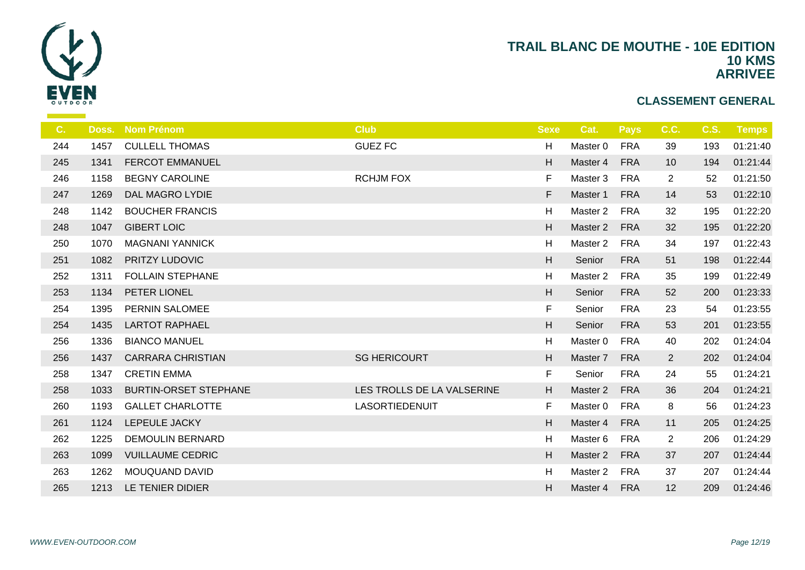

| C.  | Doss. | <b>Nom Prénom</b>            | <b>Club</b>                | <b>Sexe</b> | Cat.                | <b>Pays</b> | C.C.           | <b>C.S.</b> | Temps    |
|-----|-------|------------------------------|----------------------------|-------------|---------------------|-------------|----------------|-------------|----------|
| 244 | 1457  | <b>CULLELL THOMAS</b>        | <b>GUEZ FC</b>             | H           | Master 0            | <b>FRA</b>  | 39             | 193         | 01:21:40 |
| 245 | 1341  | <b>FERCOT EMMANUEL</b>       |                            | H           | Master 4            | <b>FRA</b>  | 10             | 194         | 01:21:44 |
| 246 | 1158  | <b>BEGNY CAROLINE</b>        | <b>RCHJM FOX</b>           | F           | Master 3            | <b>FRA</b>  | $\overline{2}$ | 52          | 01:21:50 |
| 247 | 1269  | DAL MAGRO LYDIE              |                            | F           | Master 1            | <b>FRA</b>  | 14             | 53          | 01:22:10 |
| 248 | 1142  | <b>BOUCHER FRANCIS</b>       |                            | Η           | Master 2            | <b>FRA</b>  | 32             | 195         | 01:22:20 |
| 248 | 1047  | <b>GIBERT LOIC</b>           |                            | H           | Master 2            | <b>FRA</b>  | 32             | 195         | 01:22:20 |
| 250 | 1070  | <b>MAGNANI YANNICK</b>       |                            | H           | Master <sub>2</sub> | <b>FRA</b>  | 34             | 197         | 01:22:43 |
| 251 | 1082  | PRITZY LUDOVIC               |                            | H           | Senior              | <b>FRA</b>  | 51             | 198         | 01:22:44 |
| 252 | 1311  | <b>FOLLAIN STEPHANE</b>      |                            | н           | Master <sub>2</sub> | <b>FRA</b>  | 35             | 199         | 01:22:49 |
| 253 | 1134  | PETER LIONEL                 |                            | H           | Senior              | <b>FRA</b>  | 52             | 200         | 01:23:33 |
| 254 | 1395  | PERNIN SALOMEE               |                            | F           | Senior              | <b>FRA</b>  | 23             | 54          | 01:23:55 |
| 254 | 1435  | <b>LARTOT RAPHAEL</b>        |                            | H           | Senior              | <b>FRA</b>  | 53             | 201         | 01:23:55 |
| 256 | 1336  | <b>BIANCO MANUEL</b>         |                            | н           | Master 0            | <b>FRA</b>  | 40             | 202         | 01:24:04 |
| 256 | 1437  | <b>CARRARA CHRISTIAN</b>     | <b>SG HERICOURT</b>        | H           | Master 7            | <b>FRA</b>  | $\overline{2}$ | 202         | 01:24:04 |
| 258 | 1347  | <b>CRETIN EMMA</b>           |                            | F           | Senior              | <b>FRA</b>  | 24             | 55          | 01:24:21 |
| 258 | 1033  | <b>BURTIN-ORSET STEPHANE</b> | LES TROLLS DE LA VALSERINE | H           | Master 2            | <b>FRA</b>  | 36             | 204         | 01:24:21 |
| 260 | 1193  | <b>GALLET CHARLOTTE</b>      | LASORTIEDENUIT             | F           | Master 0            | <b>FRA</b>  | 8              | 56          | 01:24:23 |
| 261 | 1124  | LEPEULE JACKY                |                            | H           | Master 4            | <b>FRA</b>  | 11             | 205         | 01:24:25 |
| 262 | 1225  | <b>DEMOULIN BERNARD</b>      |                            | Η           | Master 6            | <b>FRA</b>  | $\overline{2}$ | 206         | 01:24:29 |
| 263 | 1099  | <b>VUILLAUME CEDRIC</b>      |                            | H           | Master 2            | <b>FRA</b>  | 37             | 207         | 01:24:44 |
| 263 | 1262  | <b>MOUQUAND DAVID</b>        |                            | H           | Master 2            | <b>FRA</b>  | 37             | 207         | 01:24:44 |
| 265 | 1213  | LE TENIER DIDIER             |                            | H           | Master 4            | <b>FRA</b>  | 12             | 209         | 01:24:46 |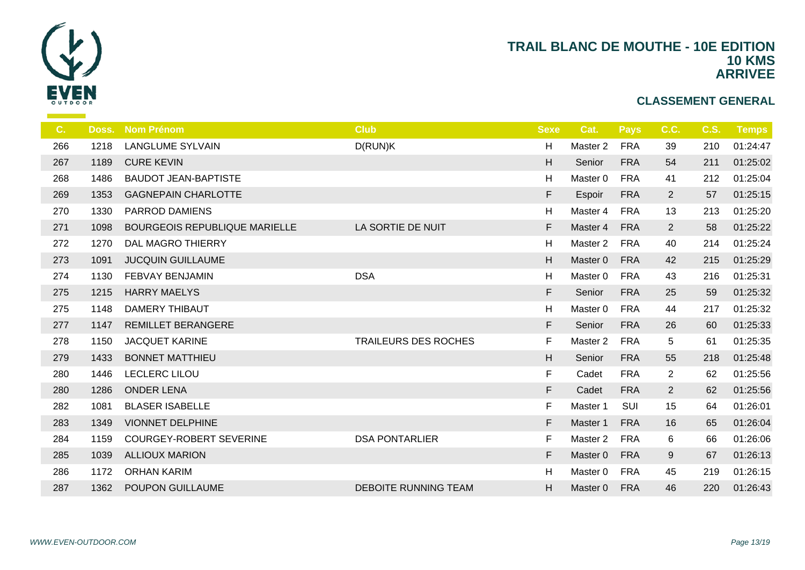

| C.  | Doss. | <b>Nom Prénom</b>                    | <b>Club</b>                 | <b>Sexe</b> | Cat.     | Pays       | C.C.           | <b>C.S.</b> | <b>Temps</b> |
|-----|-------|--------------------------------------|-----------------------------|-------------|----------|------------|----------------|-------------|--------------|
| 266 | 1218  | <b>LANGLUME SYLVAIN</b>              | D(RUN)K                     | H           | Master 2 | <b>FRA</b> | 39             | 210         | 01:24:47     |
| 267 | 1189  | <b>CURE KEVIN</b>                    |                             | H           | Senior   | <b>FRA</b> | 54             | 211         | 01:25:02     |
| 268 | 1486  | <b>BAUDOT JEAN-BAPTISTE</b>          |                             | H           | Master 0 | <b>FRA</b> | 41             | 212         | 01:25:04     |
| 269 | 1353  | <b>GAGNEPAIN CHARLOTTE</b>           |                             | F           | Espoir   | <b>FRA</b> | $\overline{2}$ | 57          | 01:25:15     |
| 270 | 1330  | <b>PARROD DAMIENS</b>                |                             | H           | Master 4 | <b>FRA</b> | 13             | 213         | 01:25:20     |
| 271 | 1098  | <b>BOURGEOIS REPUBLIQUE MARIELLE</b> | LA SORTIE DE NUIT           | F           | Master 4 | <b>FRA</b> | $\overline{2}$ | 58          | 01:25:22     |
| 272 | 1270  | <b>DAL MAGRO THIERRY</b>             |                             | H           | Master 2 | <b>FRA</b> | 40             | 214         | 01:25:24     |
| 273 | 1091  | <b>JUCQUIN GUILLAUME</b>             |                             | H           | Master 0 | <b>FRA</b> | 42             | 215         | 01:25:29     |
| 274 | 1130  | <b>FEBVAY BENJAMIN</b>               | <b>DSA</b>                  | H           | Master 0 | <b>FRA</b> | 43             | 216         | 01:25:31     |
| 275 | 1215  | <b>HARRY MAELYS</b>                  |                             | F           | Senior   | <b>FRA</b> | 25             | 59          | 01:25:32     |
| 275 | 1148  | <b>DAMERY THIBAUT</b>                |                             | H           | Master 0 | <b>FRA</b> | 44             | 217         | 01:25:32     |
| 277 | 1147  | <b>REMILLET BERANGERE</b>            |                             | F           | Senior   | <b>FRA</b> | 26             | 60          | 01:25:33     |
| 278 | 1150  | <b>JACQUET KARINE</b>                | <b>TRAILEURS DES ROCHES</b> | F           | Master 2 | <b>FRA</b> | 5              | 61          | 01:25:35     |
| 279 | 1433  | <b>BONNET MATTHIEU</b>               |                             | H           | Senior   | <b>FRA</b> | 55             | 218         | 01:25:48     |
| 280 | 1446  | LECLERC LILOU                        |                             | F           | Cadet    | <b>FRA</b> | $\overline{2}$ | 62          | 01:25:56     |
| 280 | 1286  | <b>ONDER LENA</b>                    |                             | F           | Cadet    | <b>FRA</b> | $\overline{2}$ | 62          | 01:25:56     |
| 282 | 1081  | <b>BLASER ISABELLE</b>               |                             | F           | Master 1 | SUI        | 15             | 64          | 01:26:01     |
| 283 | 1349  | <b>VIONNET DELPHINE</b>              |                             | F           | Master 1 | <b>FRA</b> | 16             | 65          | 01:26:04     |
| 284 | 1159  | <b>COURGEY-ROBERT SEVERINE</b>       | <b>DSA PONTARLIER</b>       | F           | Master 2 | <b>FRA</b> | 6              | 66          | 01:26:06     |
| 285 | 1039  | <b>ALLIOUX MARION</b>                |                             | F           | Master 0 | <b>FRA</b> | 9              | 67          | 01:26:13     |
| 286 | 1172  | <b>ORHAN KARIM</b>                   |                             | H           | Master 0 | <b>FRA</b> | 45             | 219         | 01:26:15     |
| 287 | 1362  | <b>POUPON GUILLAUME</b>              | <b>DEBOITE RUNNING TEAM</b> | H           | Master 0 | <b>FRA</b> | 46             | 220         | 01:26:43     |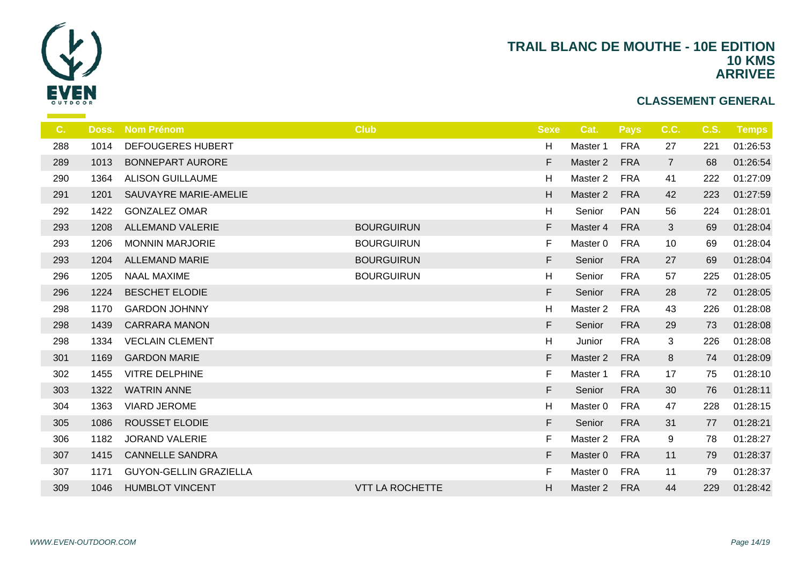

| C.  | Doss. | <b>Nom Prénom</b>             | <b>Club</b>            | <b>Sexe</b> | Cat.     | <b>Pays</b> | C.C.           | <b>C.S.</b> | <b>Temps</b> |
|-----|-------|-------------------------------|------------------------|-------------|----------|-------------|----------------|-------------|--------------|
| 288 | 1014  | <b>DEFOUGERES HUBERT</b>      |                        | H           | Master 1 | <b>FRA</b>  | 27             | 221         | 01:26:53     |
| 289 | 1013  | <b>BONNEPART AURORE</b>       |                        | F           | Master 2 | <b>FRA</b>  | $\overline{7}$ | 68          | 01:26:54     |
| 290 | 1364  | <b>ALISON GUILLAUME</b>       |                        | H           | Master 2 | <b>FRA</b>  | 41             | 222         | 01:27:09     |
| 291 | 1201  | SAUVAYRE MARIE-AMELIE         |                        | H           | Master 2 | <b>FRA</b>  | 42             | 223         | 01:27:59     |
| 292 | 1422  | <b>GONZALEZ OMAR</b>          |                        | H           | Senior   | <b>PAN</b>  | 56             | 224         | 01:28:01     |
| 293 | 1208  | <b>ALLEMAND VALERIE</b>       | <b>BOURGUIRUN</b>      | F           | Master 4 | <b>FRA</b>  | 3              | 69          | 01:28:04     |
| 293 | 1206  | <b>MONNIN MARJORIE</b>        | <b>BOURGUIRUN</b>      | F           | Master 0 | <b>FRA</b>  | 10             | 69          | 01:28:04     |
| 293 | 1204  | <b>ALLEMAND MARIE</b>         | <b>BOURGUIRUN</b>      | F           | Senior   | <b>FRA</b>  | 27             | 69          | 01:28:04     |
| 296 | 1205  | <b>NAAL MAXIME</b>            | <b>BOURGUIRUN</b>      | H           | Senior   | <b>FRA</b>  | 57             | 225         | 01:28:05     |
| 296 | 1224  | <b>BESCHET ELODIE</b>         |                        | F           | Senior   | <b>FRA</b>  | 28             | 72          | 01:28:05     |
| 298 | 1170  | <b>GARDON JOHNNY</b>          |                        | H           | Master 2 | <b>FRA</b>  | 43             | 226         | 01:28:08     |
| 298 | 1439  | <b>CARRARA MANON</b>          |                        | F           | Senior   | <b>FRA</b>  | 29             | 73          | 01:28:08     |
| 298 | 1334  | <b>VECLAIN CLEMENT</b>        |                        | H           | Junior   | <b>FRA</b>  | 3              | 226         | 01:28:08     |
| 301 | 1169  | <b>GARDON MARIE</b>           |                        | F           | Master 2 | <b>FRA</b>  | 8              | 74          | 01:28:09     |
| 302 | 1455  | <b>VITRE DELPHINE</b>         |                        | F           | Master 1 | <b>FRA</b>  | 17             | 75          | 01:28:10     |
| 303 | 1322  | <b>WATRIN ANNE</b>            |                        | F           | Senior   | <b>FRA</b>  | 30             | 76          | 01:28:11     |
| 304 | 1363  | <b>VIARD JEROME</b>           |                        | H           | Master 0 | <b>FRA</b>  | 47             | 228         | 01:28:15     |
| 305 | 1086  | <b>ROUSSET ELODIE</b>         |                        | F           | Senior   | <b>FRA</b>  | 31             | 77          | 01:28:21     |
| 306 | 1182  | <b>JORAND VALERIE</b>         |                        | F           | Master 2 | <b>FRA</b>  | 9              | 78          | 01:28:27     |
| 307 | 1415  | <b>CANNELLE SANDRA</b>        |                        | F           | Master 0 | <b>FRA</b>  | 11             | 79          | 01:28:37     |
| 307 | 1171  | <b>GUYON-GELLIN GRAZIELLA</b> |                        | F           | Master 0 | <b>FRA</b>  | 11             | 79          | 01:28:37     |
| 309 | 1046  | <b>HUMBLOT VINCENT</b>        | <b>VTT LA ROCHETTE</b> | H           | Master 2 | <b>FRA</b>  | 44             | 229         | 01:28:42     |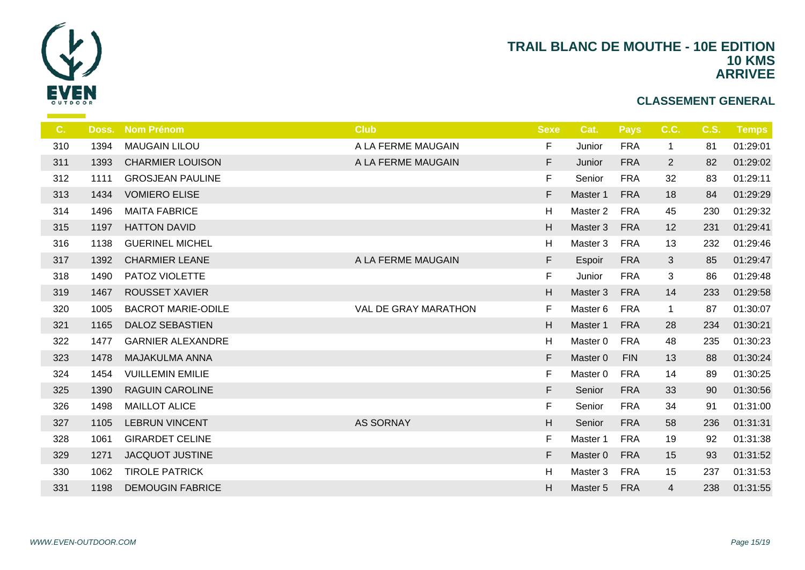

| C.  | Doss. | <b>Nom Prénom</b>         | <b>Club</b>          | <b>Sexe</b> | Cat.     | <b>Pays</b> | C.C.           | <b>C.S.</b> | <b>Temps</b> |
|-----|-------|---------------------------|----------------------|-------------|----------|-------------|----------------|-------------|--------------|
| 310 | 1394  | <b>MAUGAIN LILOU</b>      | A LA FERME MAUGAIN   | F           | Junior   | <b>FRA</b>  | 1              | 81          | 01:29:01     |
| 311 | 1393  | <b>CHARMIER LOUISON</b>   | A LA FERME MAUGAIN   | F           | Junior   | <b>FRA</b>  | $\overline{2}$ | 82          | 01:29:02     |
| 312 | 1111  | <b>GROSJEAN PAULINE</b>   |                      | $\mathsf F$ | Senior   | <b>FRA</b>  | 32             | 83          | 01:29:11     |
| 313 | 1434  | <b>VOMIERO ELISE</b>      |                      | $\mathsf F$ | Master 1 | <b>FRA</b>  | 18             | 84          | 01:29:29     |
| 314 | 1496  | <b>MAITA FABRICE</b>      |                      | Н           | Master 2 | <b>FRA</b>  | 45             | 230         | 01:29:32     |
| 315 | 1197  | <b>HATTON DAVID</b>       |                      | H           | Master 3 | <b>FRA</b>  | 12             | 231         | 01:29:41     |
| 316 | 1138  | <b>GUERINEL MICHEL</b>    |                      | Н           | Master 3 | <b>FRA</b>  | 13             | 232         | 01:29:46     |
| 317 | 1392  | <b>CHARMIER LEANE</b>     | A LA FERME MAUGAIN   | F           | Espoir   | <b>FRA</b>  | 3              | 85          | 01:29:47     |
| 318 | 1490  | PATOZ VIOLETTE            |                      | F           | Junior   | <b>FRA</b>  | 3              | 86          | 01:29:48     |
| 319 | 1467  | <b>ROUSSET XAVIER</b>     |                      | H           | Master 3 | <b>FRA</b>  | 14             | 233         | 01:29:58     |
| 320 | 1005  | <b>BACROT MARIE-ODILE</b> | VAL DE GRAY MARATHON | F           | Master 6 | <b>FRA</b>  | $\mathbf{1}$   | 87          | 01:30:07     |
| 321 | 1165  | <b>DALOZ SEBASTIEN</b>    |                      | H           | Master 1 | <b>FRA</b>  | 28             | 234         | 01:30:21     |
| 322 | 1477  | <b>GARNIER ALEXANDRE</b>  |                      | Н           | Master 0 | <b>FRA</b>  | 48             | 235         | 01:30:23     |
| 323 | 1478  | <b>MAJAKULMA ANNA</b>     |                      | F           | Master 0 | <b>FIN</b>  | 13             | 88          | 01:30:24     |
| 324 | 1454  | <b>VUILLEMIN EMILIE</b>   |                      | $\mathsf F$ | Master 0 | <b>FRA</b>  | 14             | 89          | 01:30:25     |
| 325 | 1390  | <b>RAGUIN CAROLINE</b>    |                      | F           | Senior   | <b>FRA</b>  | 33             | 90          | 01:30:56     |
| 326 | 1498  | <b>MAILLOT ALICE</b>      |                      | $\mathsf F$ | Senior   | <b>FRA</b>  | 34             | 91          | 01:31:00     |
| 327 | 1105  | <b>LEBRUN VINCENT</b>     | <b>AS SORNAY</b>     | H           | Senior   | <b>FRA</b>  | 58             | 236         | 01:31:31     |
| 328 | 1061  | <b>GIRARDET CELINE</b>    |                      | $\mathsf F$ | Master 1 | <b>FRA</b>  | 19             | 92          | 01:31:38     |
| 329 | 1271  | <b>JACQUOT JUSTINE</b>    |                      | $\mathsf F$ | Master 0 | <b>FRA</b>  | 15             | 93          | 01:31:52     |
| 330 | 1062  | <b>TIROLE PATRICK</b>     |                      | Н           | Master 3 | <b>FRA</b>  | 15             | 237         | 01:31:53     |
| 331 | 1198  | <b>DEMOUGIN FABRICE</b>   |                      | H           | Master 5 | <b>FRA</b>  | 4              | 238         | 01:31:55     |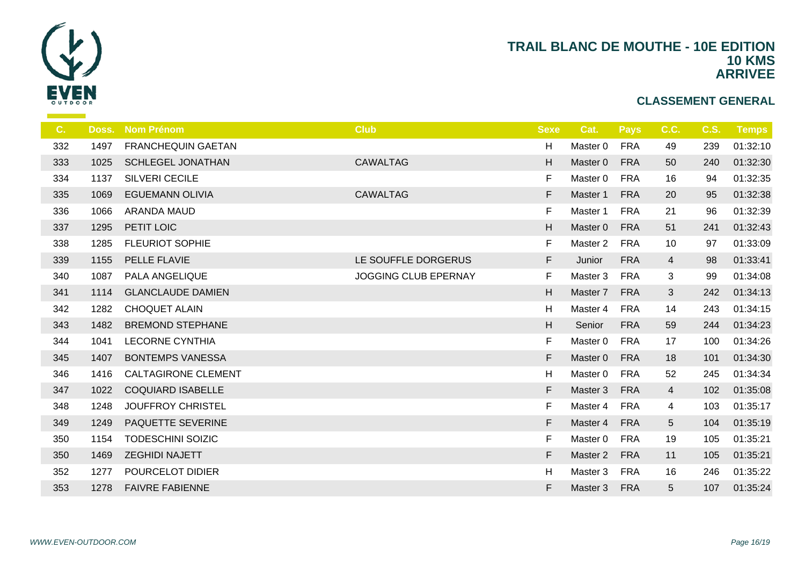

| C.  | Doss. | <b>Nom Prénom</b>          | <b>Club</b>                 | <b>Sexe</b> | Cat.     | <b>Pays</b> | C.C.           | C.S. | <b>Temps</b> |
|-----|-------|----------------------------|-----------------------------|-------------|----------|-------------|----------------|------|--------------|
| 332 | 1497  | <b>FRANCHEQUIN GAETAN</b>  |                             | H           | Master 0 | <b>FRA</b>  | 49             | 239  | 01:32:10     |
| 333 | 1025  | <b>SCHLEGEL JONATHAN</b>   | <b>CAWALTAG</b>             | H           | Master 0 | <b>FRA</b>  | 50             | 240  | 01:32:30     |
| 334 | 1137  | <b>SILVERI CECILE</b>      |                             | F           | Master 0 | <b>FRA</b>  | 16             | 94   | 01:32:35     |
| 335 | 1069  | <b>EGUEMANN OLIVIA</b>     | <b>CAWALTAG</b>             | F           | Master 1 | <b>FRA</b>  | 20             | 95   | 01:32:38     |
| 336 | 1066  | <b>ARANDA MAUD</b>         |                             | F           | Master 1 | <b>FRA</b>  | 21             | 96   | 01:32:39     |
| 337 | 1295  | PETIT LOIC                 |                             | H           | Master 0 | <b>FRA</b>  | 51             | 241  | 01:32:43     |
| 338 | 1285  | <b>FLEURIOT SOPHIE</b>     |                             | $\mathsf F$ | Master 2 | <b>FRA</b>  | 10             | 97   | 01:33:09     |
| 339 | 1155  | PELLE FLAVIE               | LE SOUFFLE DORGERUS         | F           | Junior   | <b>FRA</b>  | $\overline{4}$ | 98   | 01:33:41     |
| 340 | 1087  | PALA ANGELIQUE             | <b>JOGGING CLUB EPERNAY</b> | F           | Master 3 | <b>FRA</b>  | 3              | 99   | 01:34:08     |
| 341 | 1114  | <b>GLANCLAUDE DAMIEN</b>   |                             | H           | Master 7 | <b>FRA</b>  | 3              | 242  | 01:34:13     |
| 342 | 1282  | <b>CHOQUET ALAIN</b>       |                             | Η           | Master 4 | <b>FRA</b>  | 14             | 243  | 01:34:15     |
| 343 | 1482  | <b>BREMOND STEPHANE</b>    |                             | H           | Senior   | <b>FRA</b>  | 59             | 244  | 01:34:23     |
| 344 | 1041  | <b>LECORNE CYNTHIA</b>     |                             | F           | Master 0 | <b>FRA</b>  | 17             | 100  | 01:34:26     |
| 345 | 1407  | <b>BONTEMPS VANESSA</b>    |                             | F           | Master 0 | <b>FRA</b>  | 18             | 101  | 01:34:30     |
| 346 | 1416  | <b>CALTAGIRONE CLEMENT</b> |                             | н           | Master 0 | <b>FRA</b>  | 52             | 245  | 01:34:34     |
| 347 | 1022  | <b>COQUIARD ISABELLE</b>   |                             | F           | Master 3 | <b>FRA</b>  | $\overline{4}$ | 102  | 01:35:08     |
| 348 | 1248  | <b>JOUFFROY CHRISTEL</b>   |                             | F           | Master 4 | <b>FRA</b>  | 4              | 103  | 01:35:17     |
| 349 | 1249  | PAQUETTE SEVERINE          |                             | F           | Master 4 | <b>FRA</b>  | 5              | 104  | 01:35:19     |
| 350 | 1154  | <b>TODESCHINI SOIZIC</b>   |                             | $\mathsf F$ | Master 0 | <b>FRA</b>  | 19             | 105  | 01:35:21     |
| 350 | 1469  | <b>ZEGHIDI NAJETT</b>      |                             | F           | Master 2 | <b>FRA</b>  | 11             | 105  | 01:35:21     |
| 352 | 1277  | POURCELOT DIDIER           |                             | Н           | Master 3 | <b>FRA</b>  | 16             | 246  | 01:35:22     |
| 353 | 1278  | <b>FAIVRE FABIENNE</b>     |                             | F           | Master 3 | <b>FRA</b>  | 5              | 107  | 01:35:24     |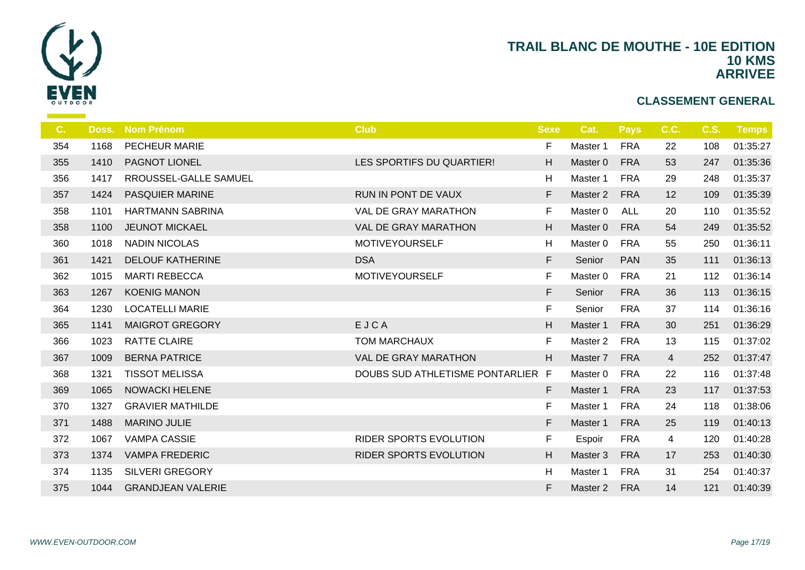

| C.  | Doss. | <b>Nom Prénom</b>        | <b>Club</b>                       | <b>Sexe</b> | Cat.                | <b>Pays</b> | C.C. | <b>C.S.</b> | Temps    |
|-----|-------|--------------------------|-----------------------------------|-------------|---------------------|-------------|------|-------------|----------|
| 354 | 1168  | <b>PECHEUR MARIE</b>     |                                   | F           | Master 1            | <b>FRA</b>  | 22   | 108         | 01:35:27 |
| 355 | 1410  | PAGNOT LIONEL            | LES SPORTIFS DU QUARTIER!         | H           | Master 0            | <b>FRA</b>  | 53   | 247         | 01:35:36 |
| 356 | 1417  | RROUSSEL-GALLE SAMUEL    |                                   | Н           | Master 1            | <b>FRA</b>  | 29   | 248         | 01:35:37 |
| 357 | 1424  | <b>PASQUIER MARINE</b>   | RUN IN PONT DE VAUX               | F           | Master 2            | <b>FRA</b>  | 12   | 109         | 01:35:39 |
| 358 | 1101  | <b>HARTMANN SABRINA</b>  | <b>VAL DE GRAY MARATHON</b>       | F           | Master 0            | <b>ALL</b>  | 20   | 110         | 01:35:52 |
| 358 | 1100  | <b>JEUNOT MICKAEL</b>    | VAL DE GRAY MARATHON              | H           | Master 0            | <b>FRA</b>  | 54   | 249         | 01:35:52 |
| 360 | 1018  | <b>NADIN NICOLAS</b>     | MOTIVEYOURSELF                    | Η           | Master 0            | <b>FRA</b>  | 55   | 250         | 01:36:11 |
| 361 | 1421  | <b>DELOUF KATHERINE</b>  | <b>DSA</b>                        | F           | Senior              | <b>PAN</b>  | 35   | 111         | 01:36:13 |
| 362 | 1015  | <b>MARTI REBECCA</b>     | <b>MOTIVEYOURSELF</b>             | F           | Master 0            | <b>FRA</b>  | 21   | 112         | 01:36:14 |
| 363 | 1267  | <b>KOENIG MANON</b>      |                                   | F           | Senior              | <b>FRA</b>  | 36   | 113         | 01:36:15 |
| 364 | 1230  | <b>LOCATELLI MARIE</b>   |                                   | F           | Senior              | <b>FRA</b>  | 37   | 114         | 01:36:16 |
| 365 | 1141  | <b>MAIGROT GREGORY</b>   | EJCA                              | H           | Master 1            | <b>FRA</b>  | 30   | 251         | 01:36:29 |
| 366 | 1023  | <b>RATTE CLAIRE</b>      | <b>TOM MARCHAUX</b>               | F           | Master <sub>2</sub> | <b>FRA</b>  | 13   | 115         | 01:37:02 |
| 367 | 1009  | <b>BERNA PATRICE</b>     | VAL DE GRAY MARATHON              | H           | Master 7            | <b>FRA</b>  | 4    | 252         | 01:37:47 |
| 368 | 1321  | <b>TISSOT MELISSA</b>    | DOUBS SUD ATHLETISME PONTARLIER F |             | Master 0            | <b>FRA</b>  | 22   | 116         | 01:37:48 |
| 369 | 1065  | <b>NOWACKI HELENE</b>    |                                   | F           | Master 1            | <b>FRA</b>  | 23   | 117         | 01:37:53 |
| 370 | 1327  | <b>GRAVIER MATHILDE</b>  |                                   | F           | Master 1            | <b>FRA</b>  | 24   | 118         | 01:38:06 |
| 371 | 1488  | <b>MARINO JULIE</b>      |                                   | F           | Master 1            | <b>FRA</b>  | 25   | 119         | 01:40:13 |
| 372 | 1067  | <b>VAMPA CASSIE</b>      | <b>RIDER SPORTS EVOLUTION</b>     | F           | Espoir              | <b>FRA</b>  | 4    | 120         | 01:40:28 |
| 373 | 1374  | <b>VAMPA FREDERIC</b>    | <b>RIDER SPORTS EVOLUTION</b>     | H           | Master 3            | <b>FRA</b>  | 17   | 253         | 01:40:30 |
| 374 | 1135  | <b>SILVERI GREGORY</b>   |                                   | Н           | Master 1            | <b>FRA</b>  | 31   | 254         | 01:40:37 |
| 375 | 1044  | <b>GRANDJEAN VALERIE</b> |                                   | F           | Master 2            | <b>FRA</b>  | 14   | 121         | 01:40:39 |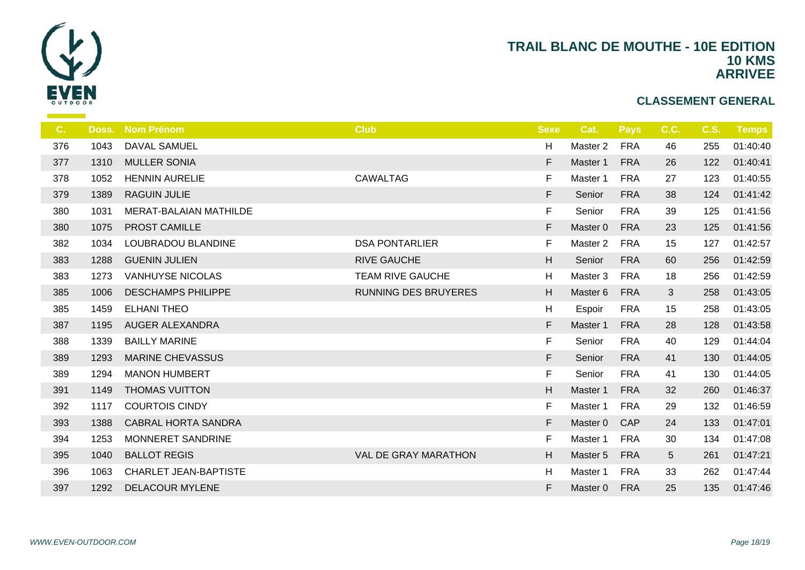

| C.  | Doss. | <b>Nom Prénom</b>            | <b>Club</b>                 | <b>Sexe</b> | Cat.                | <b>Pays</b> | C.C. | <b>C.S.</b> | Temps    |
|-----|-------|------------------------------|-----------------------------|-------------|---------------------|-------------|------|-------------|----------|
| 376 | 1043  | <b>DAVAL SAMUEL</b>          |                             | H           | Master 2            | <b>FRA</b>  | 46   | 255         | 01:40:40 |
| 377 | 1310  | <b>MULLER SONIA</b>          |                             | F           | Master 1            | <b>FRA</b>  | 26   | 122         | 01:40:41 |
| 378 | 1052  | <b>HENNIN AURELIE</b>        | <b>CAWALTAG</b>             | F           | Master 1            | <b>FRA</b>  | 27   | 123         | 01:40:55 |
| 379 | 1389  | <b>RAGUIN JULIE</b>          |                             | F.          | Senior              | <b>FRA</b>  | 38   | 124         | 01:41:42 |
| 380 | 1031  | MERAT-BALAIAN MATHILDE       |                             | $\mathsf F$ | Senior              | <b>FRA</b>  | 39   | 125         | 01:41:56 |
| 380 | 1075  | PROST CAMILLE                |                             | F           | Master 0            | <b>FRA</b>  | 23   | 125         | 01:41:56 |
| 382 | 1034  | LOUBRADOU BLANDINE           | <b>DSA PONTARLIER</b>       | F           | Master <sub>2</sub> | <b>FRA</b>  | 15   | 127         | 01:42:57 |
| 383 | 1288  | <b>GUENIN JULIEN</b>         | <b>RIVE GAUCHE</b>          | H           | Senior              | <b>FRA</b>  | 60   | 256         | 01:42:59 |
| 383 | 1273  | <b>VANHUYSE NICOLAS</b>      | <b>TEAM RIVE GAUCHE</b>     | H           | Master 3            | <b>FRA</b>  | 18   | 256         | 01:42:59 |
| 385 | 1006  | <b>DESCHAMPS PHILIPPE</b>    | <b>RUNNING DES BRUYERES</b> | H           | Master 6            | <b>FRA</b>  | 3    | 258         | 01:43:05 |
| 385 | 1459  | <b>ELHANI THEO</b>           |                             | H           | Espoir              | <b>FRA</b>  | 15   | 258         | 01:43:05 |
| 387 | 1195  | <b>AUGER ALEXANDRA</b>       |                             | F           | Master 1            | <b>FRA</b>  | 28   | 128         | 01:43:58 |
| 388 | 1339  | <b>BAILLY MARINE</b>         |                             | $\mathsf F$ | Senior              | <b>FRA</b>  | 40   | 129         | 01:44:04 |
| 389 | 1293  | <b>MARINE CHEVASSUS</b>      |                             | F           | Senior              | <b>FRA</b>  | 41   | 130         | 01:44:05 |
| 389 | 1294  | <b>MANON HUMBERT</b>         |                             | F.          | Senior              | <b>FRA</b>  | 41   | 130         | 01:44:05 |
| 391 | 1149  | <b>THOMAS VUITTON</b>        |                             | H           | Master 1            | <b>FRA</b>  | 32   | 260         | 01:46:37 |
| 392 | 1117  | <b>COURTOIS CINDY</b>        |                             | F           | Master 1            | <b>FRA</b>  | 29   | 132         | 01:46:59 |
| 393 | 1388  | <b>CABRAL HORTA SANDRA</b>   |                             | F           | Master 0            | CAP         | 24   | 133         | 01:47:01 |
| 394 | 1253  | MONNERET SANDRINE            |                             | F           | Master 1            | <b>FRA</b>  | 30   | 134         | 01:47:08 |
| 395 | 1040  | <b>BALLOT REGIS</b>          | <b>VAL DE GRAY MARATHON</b> | H           | Master 5            | <b>FRA</b>  | 5    | 261         | 01:47:21 |
| 396 | 1063  | <b>CHARLET JEAN-BAPTISTE</b> |                             | H           | Master 1            | <b>FRA</b>  | 33   | 262         | 01:47:44 |
| 397 | 1292  | <b>DELACOUR MYLENE</b>       |                             | F           | Master 0            | <b>FRA</b>  | 25   | 135         | 01:47:46 |